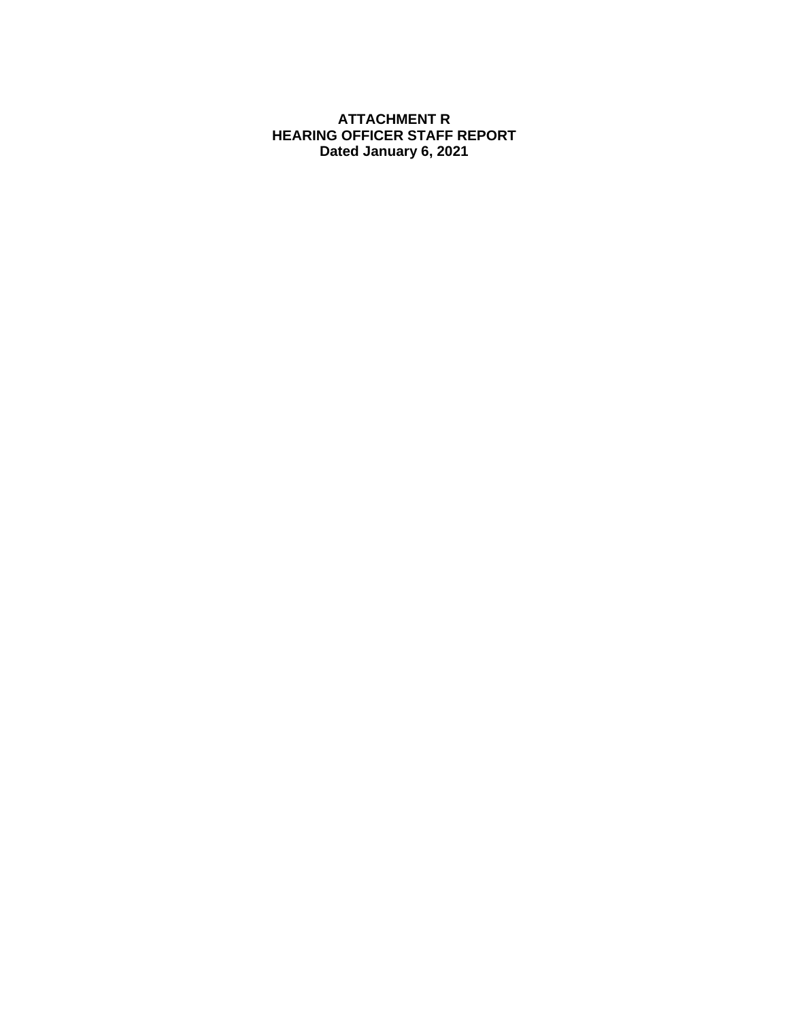### **ATTACHMENT R HEARING OFFICER STAFF REPORT Dated January 6, 2021**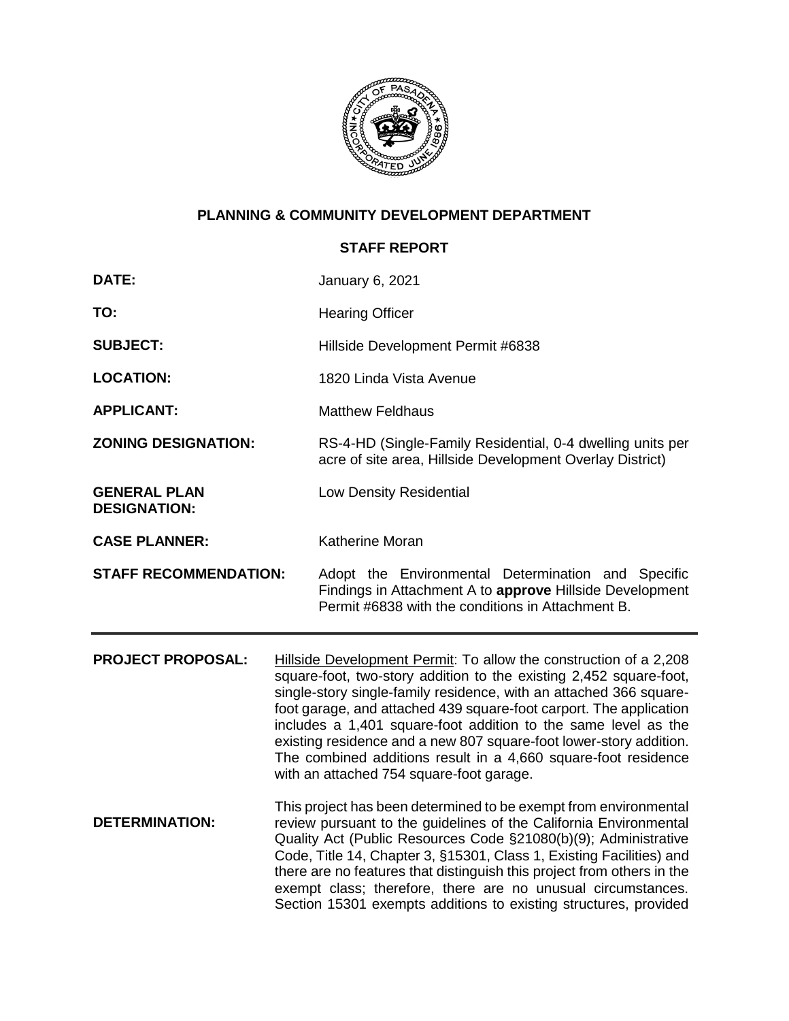

# **PLANNING & COMMUNITY DEVELOPMENT DEPARTMENT**

# **STAFF REPORT**

| <b>DATE:</b>                               |                                                                                                                                                                                                                                                                                                                                                                                                                                                                                                                                           | January 6, 2021                                                                                                                                                                                                                                                                                                                                                                                                                                                                                |  |  |
|--------------------------------------------|-------------------------------------------------------------------------------------------------------------------------------------------------------------------------------------------------------------------------------------------------------------------------------------------------------------------------------------------------------------------------------------------------------------------------------------------------------------------------------------------------------------------------------------------|------------------------------------------------------------------------------------------------------------------------------------------------------------------------------------------------------------------------------------------------------------------------------------------------------------------------------------------------------------------------------------------------------------------------------------------------------------------------------------------------|--|--|
| TO:                                        |                                                                                                                                                                                                                                                                                                                                                                                                                                                                                                                                           | <b>Hearing Officer</b>                                                                                                                                                                                                                                                                                                                                                                                                                                                                         |  |  |
| <b>SUBJECT:</b>                            |                                                                                                                                                                                                                                                                                                                                                                                                                                                                                                                                           | Hillside Development Permit #6838                                                                                                                                                                                                                                                                                                                                                                                                                                                              |  |  |
| <b>LOCATION:</b>                           |                                                                                                                                                                                                                                                                                                                                                                                                                                                                                                                                           | 1820 Linda Vista Avenue                                                                                                                                                                                                                                                                                                                                                                                                                                                                        |  |  |
| <b>APPLICANT:</b>                          |                                                                                                                                                                                                                                                                                                                                                                                                                                                                                                                                           | <b>Matthew Feldhaus</b>                                                                                                                                                                                                                                                                                                                                                                                                                                                                        |  |  |
| <b>ZONING DESIGNATION:</b>                 |                                                                                                                                                                                                                                                                                                                                                                                                                                                                                                                                           | RS-4-HD (Single-Family Residential, 0-4 dwelling units per<br>acre of site area, Hillside Development Overlay District)                                                                                                                                                                                                                                                                                                                                                                        |  |  |
| <b>GENERAL PLAN</b><br><b>DESIGNATION:</b> |                                                                                                                                                                                                                                                                                                                                                                                                                                                                                                                                           | Low Density Residential                                                                                                                                                                                                                                                                                                                                                                                                                                                                        |  |  |
| <b>CASE PLANNER:</b>                       |                                                                                                                                                                                                                                                                                                                                                                                                                                                                                                                                           | <b>Katherine Moran</b>                                                                                                                                                                                                                                                                                                                                                                                                                                                                         |  |  |
| <b>STAFF RECOMMENDATION:</b>               |                                                                                                                                                                                                                                                                                                                                                                                                                                                                                                                                           | Adopt the Environmental Determination and Specific<br>Findings in Attachment A to approve Hillside Development<br>Permit #6838 with the conditions in Attachment B.                                                                                                                                                                                                                                                                                                                            |  |  |
| <b>PROJECT PROPOSAL:</b>                   | Hillside Development Permit: To allow the construction of a 2,208<br>square-foot, two-story addition to the existing 2,452 square-foot,<br>single-story single-family residence, with an attached 366 square-<br>foot garage, and attached 439 square-foot carport. The application<br>includes a 1,401 square-foot addition to the same level as the<br>existing residence and a new 807 square-foot lower-story addition.<br>The combined additions result in a 4,660 square-foot residence<br>with an attached 754 square-foot garage. |                                                                                                                                                                                                                                                                                                                                                                                                                                                                                                |  |  |
| <b>DETERMINATION:</b>                      |                                                                                                                                                                                                                                                                                                                                                                                                                                                                                                                                           | This project has been determined to be exempt from environmental<br>review pursuant to the guidelines of the California Environmental<br>Quality Act (Public Resources Code §21080(b)(9); Administrative<br>Code, Title 14, Chapter 3, §15301, Class 1, Existing Facilities) and<br>there are no features that distinguish this project from others in the<br>exempt class; therefore, there are no unusual circumstances.<br>Section 15301 exempts additions to existing structures, provided |  |  |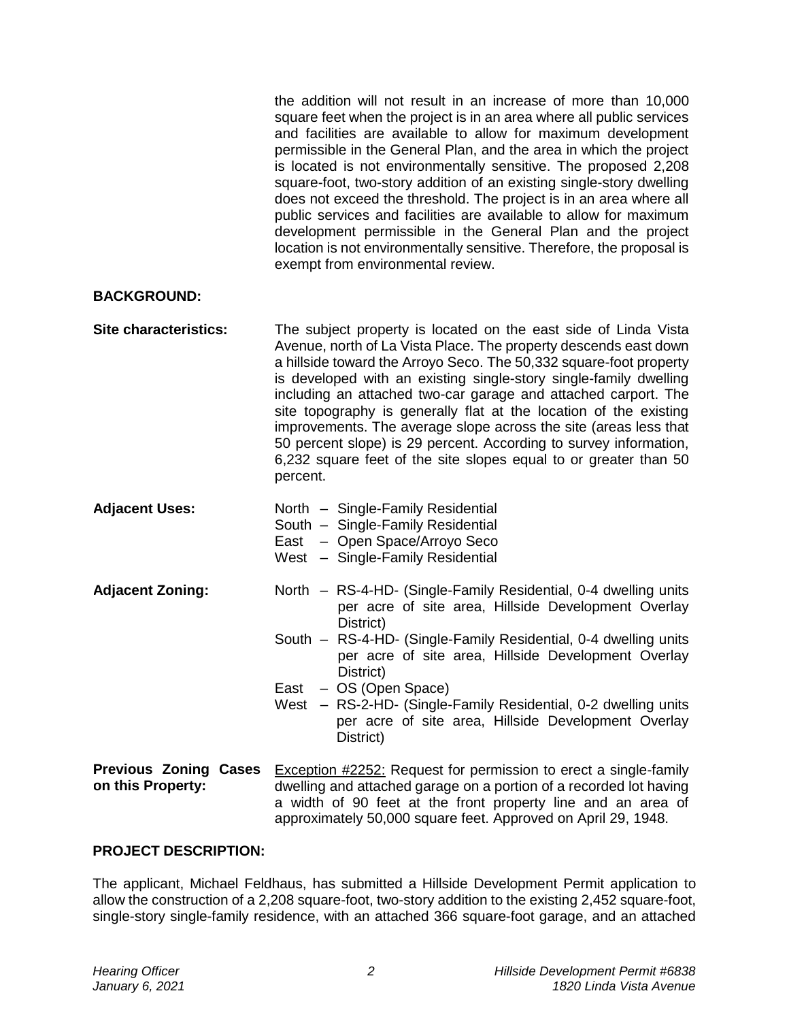the addition will not result in an increase of more than 10,000 square feet when the project is in an area where all public services and facilities are available to allow for maximum development permissible in the General Plan, and the area in which the project is located is not environmentally sensitive. The proposed 2,208 square-foot, two-story addition of an existing single-story dwelling does not exceed the threshold. The project is in an area where all public services and facilities are available to allow for maximum development permissible in the General Plan and the project location is not environmentally sensitive. Therefore, the proposal is exempt from environmental review.

#### **BACKGROUND:**

- **Site characteristics:** The subject property is located on the east side of Linda Vista Avenue, north of La Vista Place. The property descends east down a hillside toward the Arroyo Seco. The 50,332 square-foot property is developed with an existing single-story single-family dwelling including an attached two-car garage and attached carport. The site topography is generally flat at the location of the existing improvements. The average slope across the site (areas less that 50 percent slope) is 29 percent. According to survey information, 6,232 square feet of the site slopes equal to or greater than 50 percent.
- **Adjacent Uses:** North Single-Family Residential
	- South Single-Family Residential
	- East Open Space/Arroyo Seco
	- West Single-Family Residential
- **Adjacent Zoning:** North RS-4-HD- (Single-Family Residential, 0-4 dwelling units per acre of site area, Hillside Development Overlay District)
	- South RS-4-HD- (Single-Family Residential, 0-4 dwelling units per acre of site area, Hillside Development Overlay District)
	- East OS (Open Space)
	- West RS-2-HD- (Single-Family Residential, 0-2 dwelling units per acre of site area, Hillside Development Overlay District)
- **Previous Zoning Cases on this Property: Exception #2252:** Request for permission to erect a single-family dwelling and attached garage on a portion of a recorded lot having a width of 90 feet at the front property line and an area of approximately 50,000 square feet. Approved on April 29, 1948.

#### **PROJECT DESCRIPTION:**

The applicant, Michael Feldhaus, has submitted a Hillside Development Permit application to allow the construction of a 2,208 square-foot, two-story addition to the existing 2,452 square-foot, single-story single-family residence, with an attached 366 square-foot garage, and an attached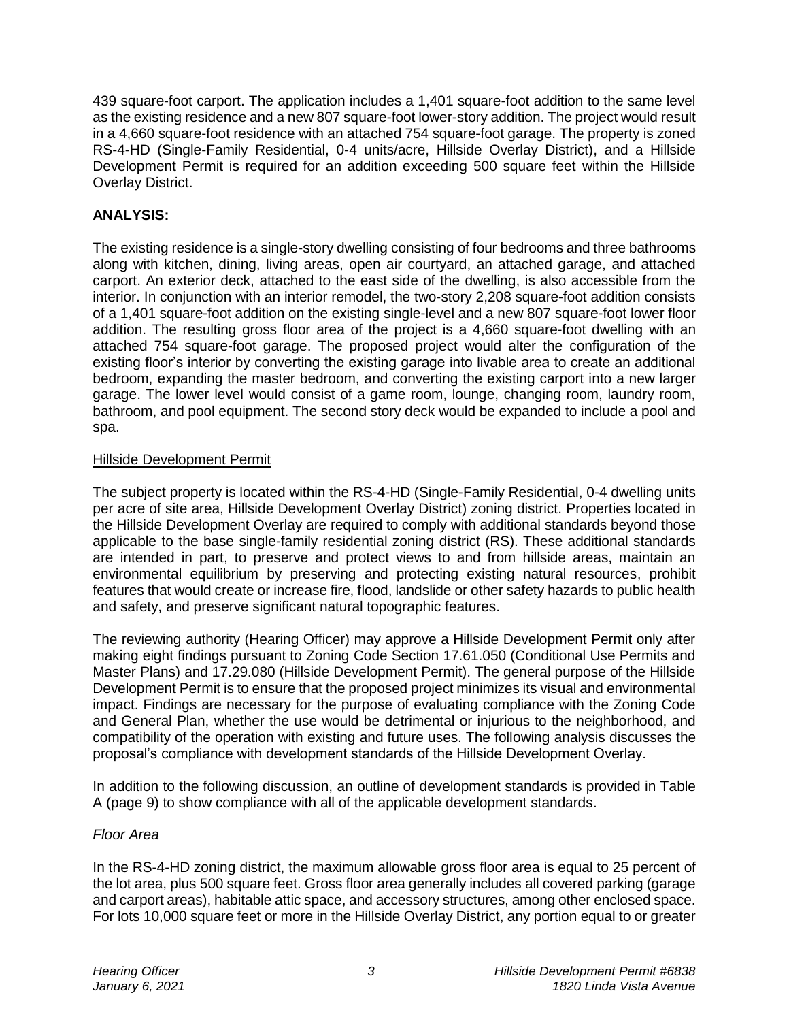439 square-foot carport. The application includes a 1,401 square-foot addition to the same level as the existing residence and a new 807 square-foot lower-story addition. The project would result in a 4,660 square-foot residence with an attached 754 square-foot garage. The property is zoned RS-4-HD (Single-Family Residential, 0-4 units/acre, Hillside Overlay District), and a Hillside Development Permit is required for an addition exceeding 500 square feet within the Hillside Overlay District.

## **ANALYSIS:**

The existing residence is a single-story dwelling consisting of four bedrooms and three bathrooms along with kitchen, dining, living areas, open air courtyard, an attached garage, and attached carport. An exterior deck, attached to the east side of the dwelling, is also accessible from the interior. In conjunction with an interior remodel, the two-story 2,208 square-foot addition consists of a 1,401 square-foot addition on the existing single-level and a new 807 square-foot lower floor addition. The resulting gross floor area of the project is a 4,660 square-foot dwelling with an attached 754 square-foot garage. The proposed project would alter the configuration of the existing floor's interior by converting the existing garage into livable area to create an additional bedroom, expanding the master bedroom, and converting the existing carport into a new larger garage. The lower level would consist of a game room, lounge, changing room, laundry room, bathroom, and pool equipment. The second story deck would be expanded to include a pool and spa.

#### Hillside Development Permit

The subject property is located within the RS-4-HD (Single-Family Residential, 0-4 dwelling units per acre of site area, Hillside Development Overlay District) zoning district. Properties located in the Hillside Development Overlay are required to comply with additional standards beyond those applicable to the base single-family residential zoning district (RS). These additional standards are intended in part, to preserve and protect views to and from hillside areas, maintain an [environmental](http://ww2.cityofpasadena.net/zoning/P-8.html#ENVIRONMENTAL) equilibrium by preserving and protecting existing natural resources, prohibit features that would create or increase fire, flood, landslide or other safety hazards to public health and safety, and preserve significant natural topographic features.

The reviewing authority (Hearing Officer) may approve a Hillside Development Permit only after making eight findings pursuant to Zoning Code Section 17.61.050 (Conditional Use Permits and Master Plans) and 17.29.080 (Hillside Development Permit). The general purpose of the Hillside Development Permit is to ensure that the proposed [project](http://ww2.cityofpasadena.net/zoning/P-8.html#PROJECT) minimizes its visual and [environmental](http://ww2.cityofpasadena.net/zoning/P-8.html#ENVIRONMENTAL) impact. Findings are necessary for the purpose of evaluating compliance with the Zoning Code and General Plan, whether the use would be detrimental or injurious to the neighborhood, and compatibility of the operation with existing and future uses. The following analysis discusses the proposal's compliance with development standards of the Hillside Development Overlay.

In addition to the following discussion, an outline of development standards is provided in Table A (page 9) to show compliance with all of the applicable development standards.

#### *Floor Area*

In the RS-4-HD zoning district, the maximum allowable gross floor area is equal to 25 percent of the lot area, plus 500 square feet. Gross floor area generally includes all covered parking (garage and carport areas), habitable attic space, and accessory structures, among other enclosed space. For lots 10,000 square feet or more in the Hillside Overlay District, any portion equal to or greater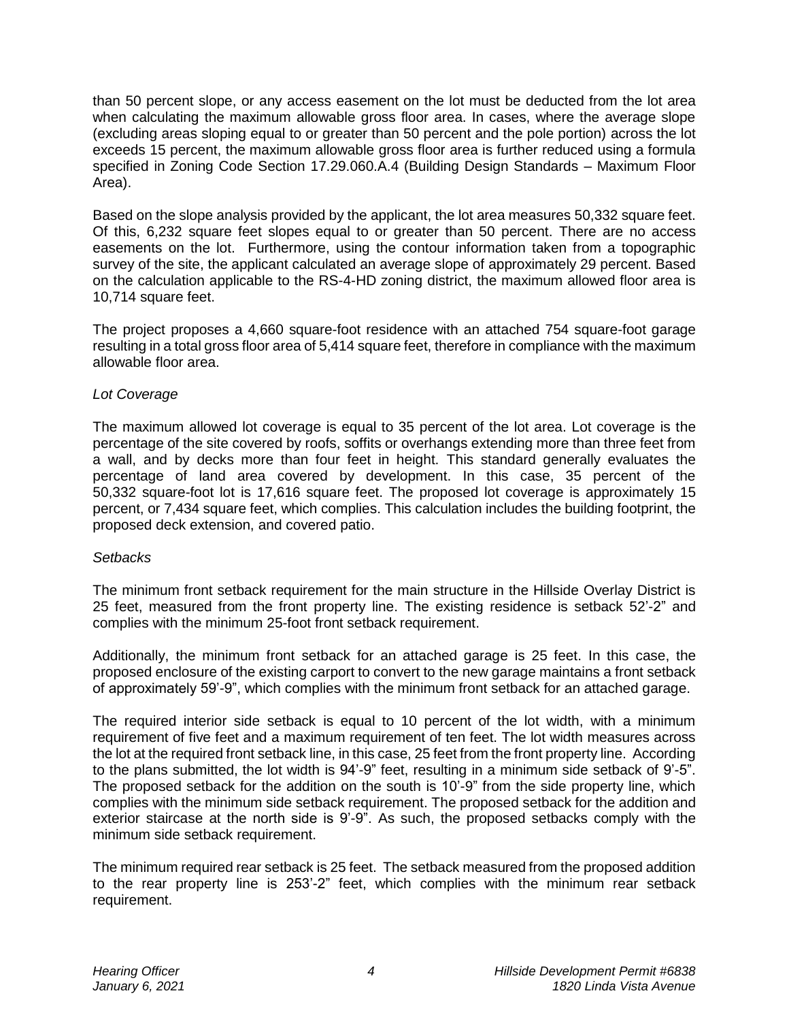than 50 percent slope, or any access easement on the lot must be deducted from the lot area when calculating the maximum allowable gross floor area. In cases, where the average slope (excluding areas sloping equal to or greater than 50 percent and the pole portion) across the lot exceeds 15 percent, the maximum allowable gross floor area is further reduced using a formula specified in Zoning Code Section 17.29.060.A.4 (Building Design Standards – Maximum Floor Area).

Based on the slope analysis provided by the applicant, the lot area measures 50,332 square feet. Of this, 6,232 square feet slopes equal to or greater than 50 percent. There are no access easements on the lot. Furthermore, using the contour information taken from a topographic survey of the site, the applicant calculated an average slope of approximately 29 percent. Based on the calculation applicable to the RS-4-HD zoning district, the maximum allowed floor area is 10,714 square feet.

The project proposes a 4,660 square-foot residence with an attached 754 square-foot garage resulting in a total gross floor area of 5,414 square feet, therefore in compliance with the maximum allowable floor area.

#### *Lot Coverage*

The maximum allowed lot coverage is equal to 35 percent of the lot area. Lot coverage is the percentage of the site covered by roofs, soffits or overhangs extending more than three feet from a wall, and by decks more than four feet in height. This standard generally evaluates the percentage of land area covered by development. In this case, 35 percent of the 50,332 square-foot lot is 17,616 square feet. The proposed lot coverage is approximately 15 percent, or 7,434 square feet, which complies. This calculation includes the building footprint, the proposed deck extension, and covered patio.

#### *Setbacks*

The minimum front setback requirement for the main structure in the Hillside Overlay District is 25 feet, measured from the front property line. The existing residence is setback 52'-2" and complies with the minimum 25-foot front setback requirement.

Additionally, the minimum front [setback](http://ww2.cityofpasadena.net/zoning/P-8.html#SETBACK) for an attached [garage](http://ww2.cityofpasadena.net/zoning/P-8.html#GARAGE) is 25 feet. In this case, the proposed enclosure of the existing carport to convert to the new garage maintains a front setback of approximately 59'-9", which complies with the minimum front setback for an attached garage.

The required interior side setback is equal to 10 percent of the lot width, with a minimum requirement of five feet and a maximum requirement of ten feet. The lot width measures across the lot at the required front setback line, in this case, 25 feet from the front property line. According to the plans submitted, the lot width is 94'-9" feet, resulting in a minimum side setback of 9'-5". The proposed setback for the addition on the south is 10'-9" from the side property line, which complies with the minimum side setback requirement. The proposed setback for the addition and exterior staircase at the north side is 9'-9". As such, the proposed setbacks comply with the minimum side setback requirement.

The minimum required rear setback is 25 feet. The setback measured from the proposed addition to the rear property line is 253'-2" feet, which complies with the minimum rear setback requirement.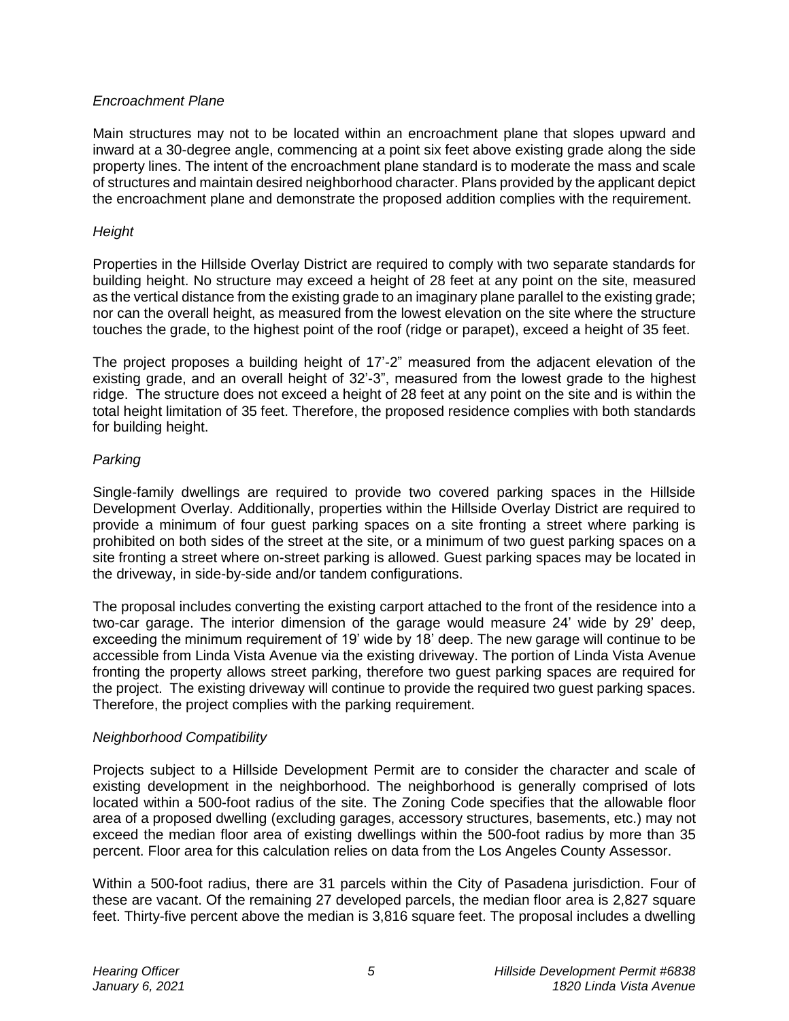### *Encroachment Plane*

Main structures may not to be located within an encroachment plane that slopes upward and inward at a 30-degree angle, commencing at a point six feet above existing grade along the side property lines. The intent of the encroachment plane standard is to moderate the mass and scale of structures and maintain desired neighborhood character. Plans provided by the applicant depict the encroachment plane and demonstrate the proposed addition complies with the requirement.

## *Height*

Properties in the Hillside Overlay District are required to comply with two separate standards for building height. No [structure](http://ww2.cityofpasadena.net/zoning/P-8.html#STRUCTURE) may exceed a [height](http://ww2.cityofpasadena.net/zoning/P-8.html#HEIGHT) of 28 feet at any point on the [site,](http://ww2.cityofpasadena.net/zoning/P-8.html#SITE) measured as the vertical distance from the existing grade to an imaginary plane parallel to the existing grade; nor can the overall height, as measured from the lowest elevation on the [site](http://ww2.cityofpasadena.net/zoning/P-8.html#SITE) where the [structure](http://ww2.cityofpasadena.net/zoning/P-8.html#STRUCTURE) touches the [grade,](http://ww2.cityofpasadena.net/zoning/P-8.html#GRADE) to the highest point of the roof (ridge or parapet), exceed a height of 35 feet.

The project proposes a building height of 17'-2" measured from the adjacent elevation of the existing grade, and an overall height of 32'-3", measured from the lowest grade to the highest ridge. The structure does not exceed a height of 28 feet at any point on the site and is within the total height limitation of 35 feet. Therefore, the proposed residence complies with both standards for building height.

## *Parking*

Single-family dwellings are required to provide two covered parking spaces in the Hillside Development Overlay. Additionally, properties within the Hillside Overlay District are required to provide a minimum of four guest parking spaces on a site fronting a street where parking is prohibited on both sides of the street at the site, or a minimum of two guest parking spaces on a site fronting a street where on-street parking is allowed. Guest parking spaces may be located in the driveway, in side-by-side and/or tandem configurations.

The proposal includes converting the existing carport attached to the front of the residence into a two-car garage. The interior dimension of the garage would measure 24' wide by 29' deep, exceeding the minimum requirement of 19' wide by 18' deep. The new garage will continue to be accessible from Linda Vista Avenue via the existing driveway. The portion of Linda Vista Avenue fronting the property allows street parking, therefore two guest parking spaces are required for the project. The existing driveway will continue to provide the required two guest parking spaces. Therefore, the project complies with the parking requirement.

# *Neighborhood Compatibility*

Projects subject to a Hillside Development Permit are to consider the character and scale of existing development in the neighborhood. The neighborhood is generally comprised of lots located within a 500-foot radius of the site. The Zoning Code specifies that the allowable floor area of a proposed dwelling (excluding [garages,](http://ww2.cityofpasadena.net/zoning/P-8.html#GARAGE) accessory structures, basements, etc.) may not exceed the median floor area of existing dwellings within the 500-foot radius by more than 35 percent. Floor area for this calculation relies on data from the Los Angeles County Assessor.

Within a 500-foot radius, there are 31 parcels within the City of Pasadena jurisdiction. Four of these are vacant. Of the remaining 27 developed parcels, the median floor area is 2,827 square feet. Thirty-five percent above the median is 3,816 square feet. The proposal includes a dwelling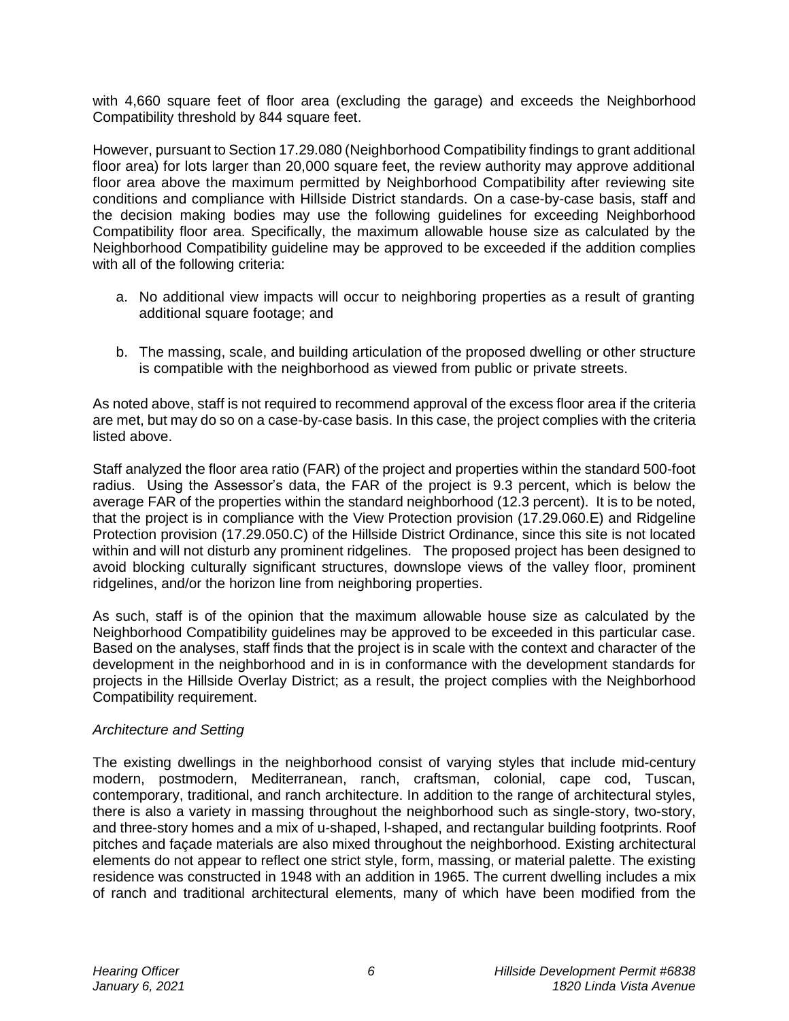with 4,660 square feet of floor area (excluding the garage) and exceeds the Neighborhood Compatibility threshold by 844 square feet.

However, pursuant to Section 17.29.080 (Neighborhood Compatibility findings to grant additional floor area) for lots larger than 20,000 square feet, the review authority may approve additional floor area above the maximum permitted by Neighborhood Compatibility after reviewing site conditions and compliance with Hillside District standards. On a case-by-case basis, staff and the decision making bodies may use the following guidelines for exceeding Neighborhood Compatibility floor area. Specifically, the maximum allowable house size as calculated by the Neighborhood Compatibility guideline may be approved to be exceeded if the addition complies with all of the following criteria:

- a. No additional view impacts will occur to neighboring properties as a result of granting additional square footage; and
- b. The massing, scale, and building articulation of the proposed dwelling or other structure is compatible with the neighborhood as viewed from public or private streets.

As noted above, staff is not required to recommend approval of the excess floor area if the criteria are met, but may do so on a case-by-case basis. In this case, the project complies with the criteria listed above.

Staff analyzed the floor area ratio (FAR) of the project and properties within the standard 500-foot radius. Using the Assessor's data, the FAR of the project is 9.3 percent, which is below the average FAR of the properties within the standard neighborhood (12.3 percent). It is to be noted, that the project is in compliance with the View Protection provision (17.29.060.E) and Ridgeline Protection provision (17.29.050.C) of the Hillside District Ordinance, since this site is not located within and will not disturb any prominent ridgelines. The proposed project has been designed to avoid blocking culturally significant structures, downslope views of the valley floor, prominent ridgelines, and/or the horizon line from neighboring properties.

As such, staff is of the opinion that the maximum allowable house size as calculated by the Neighborhood Compatibility guidelines may be approved to be exceeded in this particular case. Based on the analyses, staff finds that the project is in scale with the context and character of the development in the neighborhood and in is in conformance with the development standards for projects in the Hillside Overlay District; as a result, the project complies with the Neighborhood Compatibility requirement.

#### *Architecture and Setting*

The existing dwellings in the neighborhood consist of varying styles that include mid-century modern, postmodern, Mediterranean, ranch, craftsman, colonial, cape cod, Tuscan, contemporary, traditional, and ranch architecture. In addition to the range of architectural styles, there is also a variety in massing throughout the neighborhood such as single-story, two-story, and three-story homes and a mix of u-shaped, l-shaped, and rectangular building footprints. Roof pitches and façade materials are also mixed throughout the neighborhood. Existing architectural elements do not appear to reflect one strict style, form, massing, or material palette. The existing residence was constructed in 1948 with an addition in 1965. The current dwelling includes a mix of ranch and traditional architectural elements, many of which have been modified from the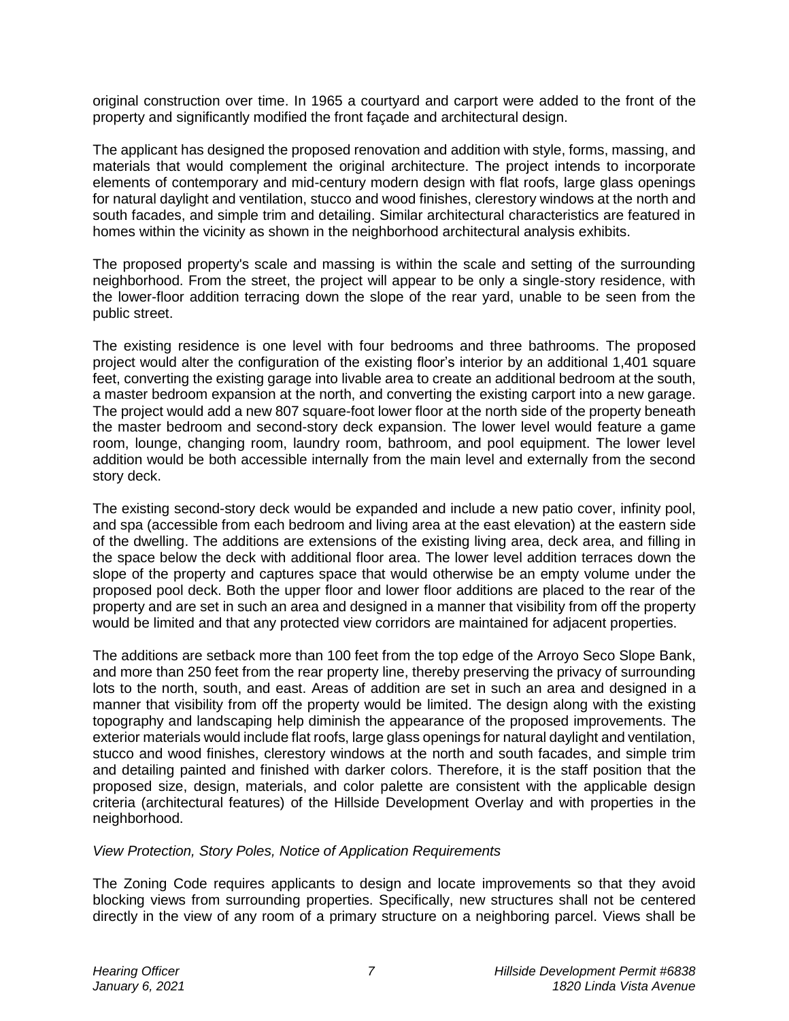original construction over time. In 1965 a courtyard and carport were added to the front of the property and significantly modified the front façade and architectural design.

The applicant has designed the proposed renovation and addition with style, forms, massing, and materials that would complement the original architecture. The project intends to incorporate elements of contemporary and mid-century modern design with flat roofs, large glass openings for natural daylight and ventilation, stucco and wood finishes, clerestory windows at the north and south facades, and simple trim and detailing. Similar architectural characteristics are featured in homes within the vicinity as shown in the neighborhood architectural analysis exhibits.

The proposed property's scale and massing is within the scale and setting of the surrounding neighborhood. From the street, the project will appear to be only a single-story residence, with the lower-floor addition terracing down the slope of the rear yard, unable to be seen from the public street.

The existing residence is one level with four bedrooms and three bathrooms. The proposed project would alter the configuration of the existing floor's interior by an additional 1,401 square feet, converting the existing garage into livable area to create an additional bedroom at the south, a master bedroom expansion at the north, and converting the existing carport into a new garage. The project would add a new 807 square-foot lower floor at the north side of the property beneath the master bedroom and second-story deck expansion. The lower level would feature a game room, lounge, changing room, laundry room, bathroom, and pool equipment. The lower level addition would be both accessible internally from the main level and externally from the second story deck.

The existing second-story deck would be expanded and include a new patio cover, infinity pool, and spa (accessible from each bedroom and living area at the east elevation) at the eastern side of the dwelling. The additions are extensions of the existing living area, deck area, and filling in the space below the deck with additional floor area. The lower level addition terraces down the slope of the property and captures space that would otherwise be an empty volume under the proposed pool deck. Both the upper floor and lower floor additions are placed to the rear of the property and are set in such an area and designed in a manner that visibility from off the property would be limited and that any protected view corridors are maintained for adjacent properties.

The additions are setback more than 100 feet from the top edge of the Arroyo Seco Slope Bank, and more than 250 feet from the rear property line, thereby preserving the privacy of surrounding lots to the north, south, and east. Areas of addition are set in such an area and designed in a manner that visibility from off the property would be limited. The design along with the existing topography and landscaping help diminish the appearance of the proposed improvements. The exterior materials would include flat roofs, large glass openings for natural daylight and ventilation, stucco and wood finishes, clerestory windows at the north and south facades, and simple trim and detailing painted and finished with darker colors. Therefore, it is the staff position that the proposed size, design, materials, and color palette are consistent with the applicable design criteria (architectural features) of the Hillside Development Overlay and with properties in the neighborhood.

#### *View Protection, Story Poles, Notice of Application Requirements*

The Zoning Code requires applicants to design and locate improvements so that they avoid blocking views from surrounding properties. Specifically, new structures shall not be centered directly in the view of any room of a primary structure on a neighboring parcel. Views shall be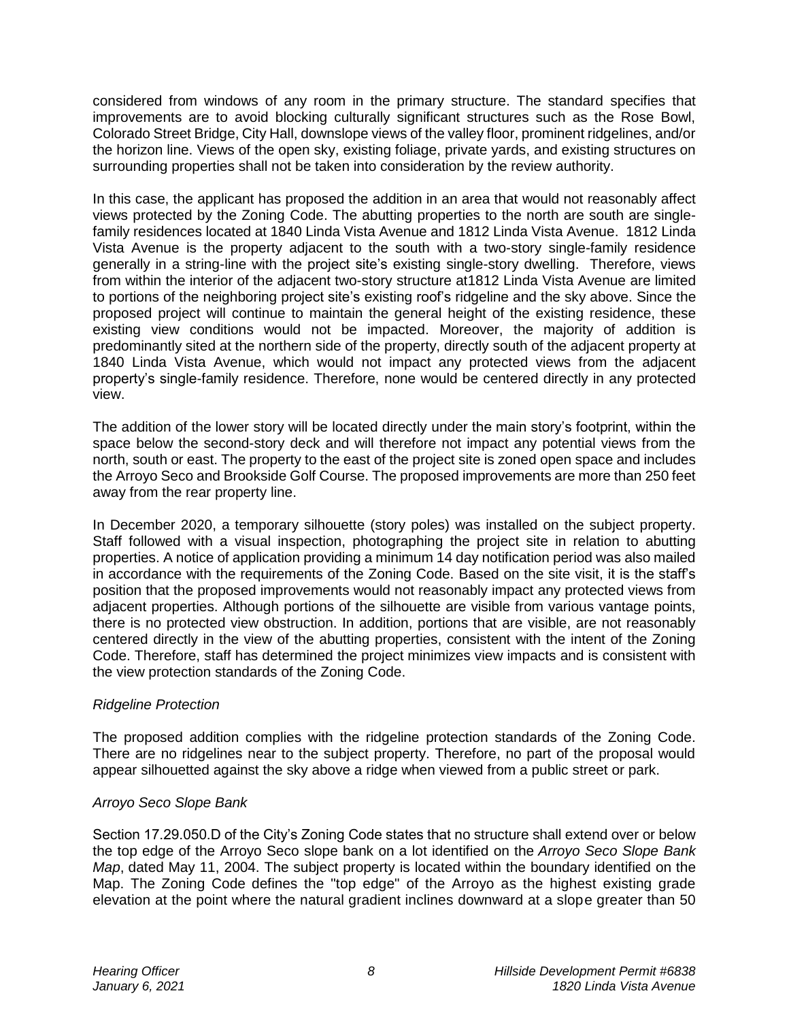considered from windows of any room in the primary structure. The standard specifies that improvements are to avoid blocking culturally significant structures such as the Rose Bowl, Colorado Street Bridge, City Hall, downslope views of the valley floor, prominent ridgelines, and/or the horizon line. Views of the open sky, existing foliage, private yards, and existing structures on surrounding properties shall not be taken into consideration by the review authority.

In this case, the applicant has proposed the addition in an area that would not reasonably affect views protected by the Zoning Code. The abutting properties to the north are south are singlefamily residences located at 1840 Linda Vista Avenue and 1812 Linda Vista Avenue. 1812 Linda Vista Avenue is the property adjacent to the south with a two-story single-family residence generally in a string-line with the project site's existing single-story dwelling. Therefore, views from within the interior of the adjacent two-story structure at1812 Linda Vista Avenue are limited to portions of the neighboring project site's existing roof's ridgeline and the sky above. Since the proposed project will continue to maintain the general height of the existing residence, these existing view conditions would not be impacted. Moreover, the majority of addition is predominantly sited at the northern side of the property, directly south of the adjacent property at 1840 Linda Vista Avenue, which would not impact any protected views from the adjacent property's single-family residence. Therefore, none would be centered directly in any protected view.

The addition of the lower story will be located directly under the main story's footprint, within the space below the second-story deck and will therefore not impact any potential views from the north, south or east. The property to the east of the project site is zoned open space and includes the Arroyo Seco and Brookside Golf Course. The proposed improvements are more than 250 feet away from the rear property line.

In December 2020, a temporary silhouette (story poles) was installed on the subject property. Staff followed with a visual inspection, photographing the project site in relation to abutting properties. A notice of application providing a minimum 14 day notification period was also mailed in accordance with the requirements of the Zoning Code. Based on the site visit, it is the staff's position that the proposed improvements would not reasonably impact any protected views from adjacent properties. Although portions of the silhouette are visible from various vantage points, there is no protected view obstruction. In addition, portions that are visible, are not reasonably centered directly in the view of the abutting properties, consistent with the intent of the Zoning Code. Therefore, staff has determined the project minimizes view impacts and is consistent with the view protection standards of the Zoning Code.

# *Ridgeline Protection*

The proposed addition complies with the ridgeline protection standards of the Zoning Code. There are no ridgelines near to the subject property. Therefore, no part of the proposal would appear silhouetted against the sky above a ridge when viewed from a public street or park.

# *Arroyo Seco Slope Bank*

Section 17.29.050.D of the City's Zoning Code states that no structure shall extend over or below the top edge of the Arroyo Seco slope bank on a lot identified on the *Arroyo Seco Slope Bank Map*, dated May 11, 2004. The subject property is located within the boundary identified on the Map. The Zoning Code defines the "top edge" of the Arroyo as the highest existing grade elevation at the point where the natural gradient inclines downward at a slope greater than 50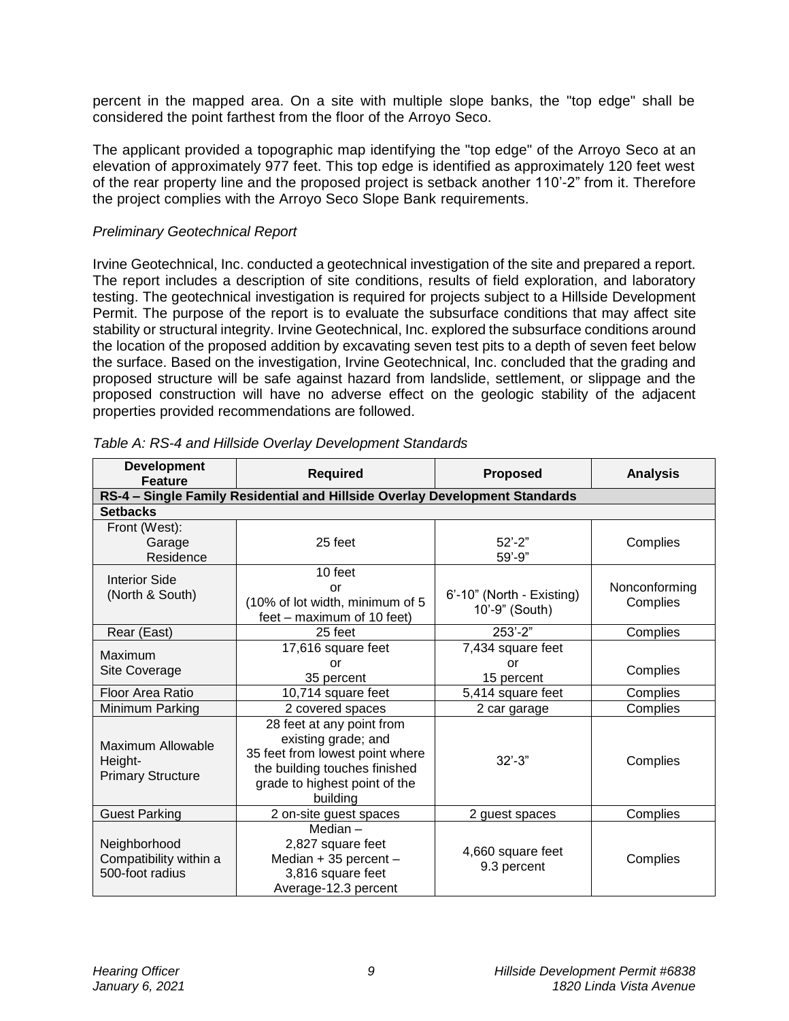percent in the mapped area. On a site with multiple slope banks, the "top edge" shall be considered the point farthest from the floor of the Arroyo Seco.

The applicant provided a topographic map identifying the "top edge" of the Arroyo Seco at an elevation of approximately 977 feet. This top edge is identified as approximately 120 feet west of the rear property line and the proposed project is setback another 110'-2" from it. Therefore the project complies with the Arroyo Seco Slope Bank requirements.

### *Preliminary Geotechnical Report*

Irvine Geotechnical, Inc. conducted a geotechnical investigation of the site and prepared a report. The report includes a description of site conditions, results of field exploration, and laboratory testing. The geotechnical investigation is required for projects subject to a Hillside Development Permit. The purpose of the report is to evaluate the subsurface conditions that may affect [site](http://ww2.cityofpasadena.net/zoning/P-8.html#SITE) stability or structural integrity. Irvine Geotechnical, Inc. explored the subsurface conditions around the location of the proposed addition by excavating seven test pits to a depth of seven feet below the surface. Based on the investigation, Irvine Geotechnical, Inc. concluded that the grading and proposed structure will be safe against hazard from landslide, settlement, or slippage and the proposed construction will have no adverse effect on the geologic stability of the adjacent properties provided recommendations are followed.

| <b>Development</b><br><b>Feature</b>                                        | <b>Required</b>                                                                                                                                                   | <b>Proposed</b>                             | <b>Analysis</b>           |  |  |  |  |  |  |  |
|-----------------------------------------------------------------------------|-------------------------------------------------------------------------------------------------------------------------------------------------------------------|---------------------------------------------|---------------------------|--|--|--|--|--|--|--|
| RS-4 - Single Family Residential and Hillside Overlay Development Standards |                                                                                                                                                                   |                                             |                           |  |  |  |  |  |  |  |
| <b>Setbacks</b>                                                             |                                                                                                                                                                   |                                             |                           |  |  |  |  |  |  |  |
| Front (West):<br>Garage<br>Residence                                        | 25 feet                                                                                                                                                           | $52' - 2"$<br>59'-9"                        | Complies                  |  |  |  |  |  |  |  |
| <b>Interior Side</b><br>(North & South)                                     | 10 feet<br>or<br>(10% of lot width, minimum of 5<br>feet – maximum of 10 feet)                                                                                    | 6'-10" (North - Existing)<br>10'-9" (South) | Nonconforming<br>Complies |  |  |  |  |  |  |  |
| Rear (East)                                                                 | 25 feet                                                                                                                                                           | 253'-2"                                     | Complies                  |  |  |  |  |  |  |  |
| <b>Maximum</b><br>Site Coverage                                             | 17,616 square feet<br>or<br>35 percent                                                                                                                            | 7,434 square feet<br>or<br>15 percent       | Complies                  |  |  |  |  |  |  |  |
| Floor Area Ratio                                                            | 10,714 square feet                                                                                                                                                | 5,414 square feet                           | Complies                  |  |  |  |  |  |  |  |
| Minimum Parking                                                             | 2 covered spaces                                                                                                                                                  | 2 car garage                                | Complies                  |  |  |  |  |  |  |  |
| Maximum Allowable<br>Height-<br><b>Primary Structure</b>                    | 28 feet at any point from<br>existing grade; and<br>35 feet from lowest point where<br>the building touches finished<br>grade to highest point of the<br>building | $32' - 3"$                                  | Complies                  |  |  |  |  |  |  |  |
| <b>Guest Parking</b>                                                        | 2 on-site guest spaces                                                                                                                                            | 2 guest spaces                              | Complies                  |  |  |  |  |  |  |  |
| Neighborhood<br>Compatibility within a<br>500-foot radius                   | Median $-$<br>2,827 square feet<br>Median + 35 percent -<br>3,816 square feet<br>Average-12.3 percent                                                             | 4,660 square feet<br>9.3 percent            | Complies                  |  |  |  |  |  |  |  |

*Table A: RS-4 and Hillside Overlay Development Standards*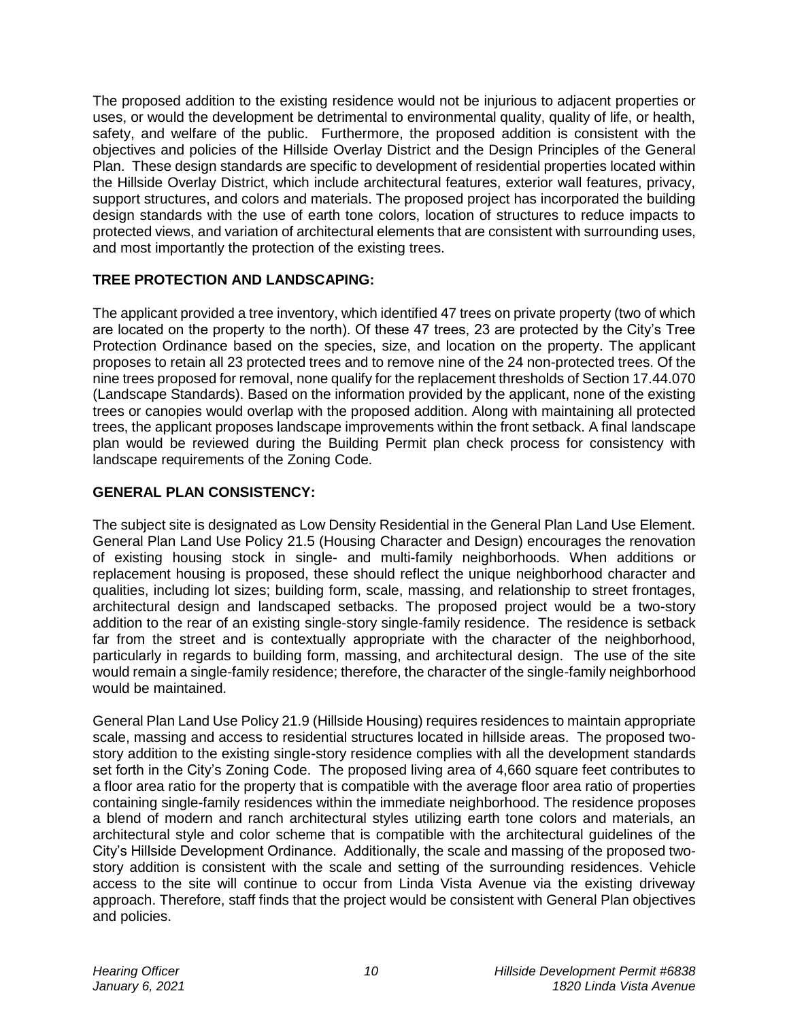The proposed addition to the existing residence would not be injurious to adjacent properties or uses, or would the development be detrimental to environmental quality, quality of life, or health, safety, and welfare of the public. Furthermore, the proposed addition is consistent with the objectives and policies of the Hillside Overlay District and the Design Principles of the General Plan. These design standards are specific to development of residential properties located within the Hillside Overlay District, which include architectural features, exterior wall features, privacy, support structures, and colors and materials. The proposed project has incorporated the building design standards with the use of earth tone colors, location of structures to reduce impacts to protected views, and variation of architectural elements that are consistent with surrounding uses, and most importantly the protection of the existing trees.

# **TREE PROTECTION AND LANDSCAPING:**

The applicant provided a tree inventory, which identified 47 trees on private property (two of which are located on the property to the north). Of these 47 trees, 23 are protected by the City's Tree Protection Ordinance based on the species, size, and location on the property. The applicant proposes to retain all 23 protected trees and to remove nine of the 24 non-protected trees. Of the nine trees proposed for removal, none qualify for the replacement thresholds of Section 17.44.070 (Landscape Standards). Based on the information provided by the applicant, none of the existing trees or canopies would overlap with the proposed addition. Along with maintaining all protected trees, the applicant proposes landscape improvements within the front setback. A final landscape plan would be reviewed during the Building Permit plan check process for consistency with landscape requirements of the Zoning Code.

## **GENERAL PLAN CONSISTENCY:**

The subject site is designated as Low Density Residential in the General Plan Land Use Element. General Plan Land Use Policy 21.5 (Housing Character and Design) encourages the renovation of existing housing stock in single- and multi-family neighborhoods. When additions or replacement housing is proposed, these should reflect the unique neighborhood character and qualities, including lot sizes; building form, scale, massing, and relationship to street frontages, architectural design and landscaped setbacks. The proposed project would be a two-story addition to the rear of an existing single-story single-family residence. The residence is setback far from the street and is contextually appropriate with the character of the neighborhood, particularly in regards to building form, massing, and architectural design. The use of the site would remain a single-family residence; therefore, the character of the single-family neighborhood would be maintained.

General Plan Land Use Policy 21.9 (Hillside Housing) requires residences to maintain appropriate scale, massing and access to residential structures located in hillside areas. The proposed twostory addition to the existing single-story residence complies with all the development standards set forth in the City's Zoning Code. The proposed living area of 4,660 square feet contributes to a floor area ratio for the property that is compatible with the average floor area ratio of properties containing single-family residences within the immediate neighborhood. The residence proposes a blend of modern and ranch architectural styles utilizing earth tone colors and materials, an architectural style and color scheme that is compatible with the architectural guidelines of the City's Hillside Development Ordinance. Additionally, the scale and massing of the proposed twostory addition is consistent with the scale and setting of the surrounding residences. Vehicle access to the site will continue to occur from Linda Vista Avenue via the existing driveway approach. Therefore, staff finds that the project would be consistent with General Plan objectives and policies.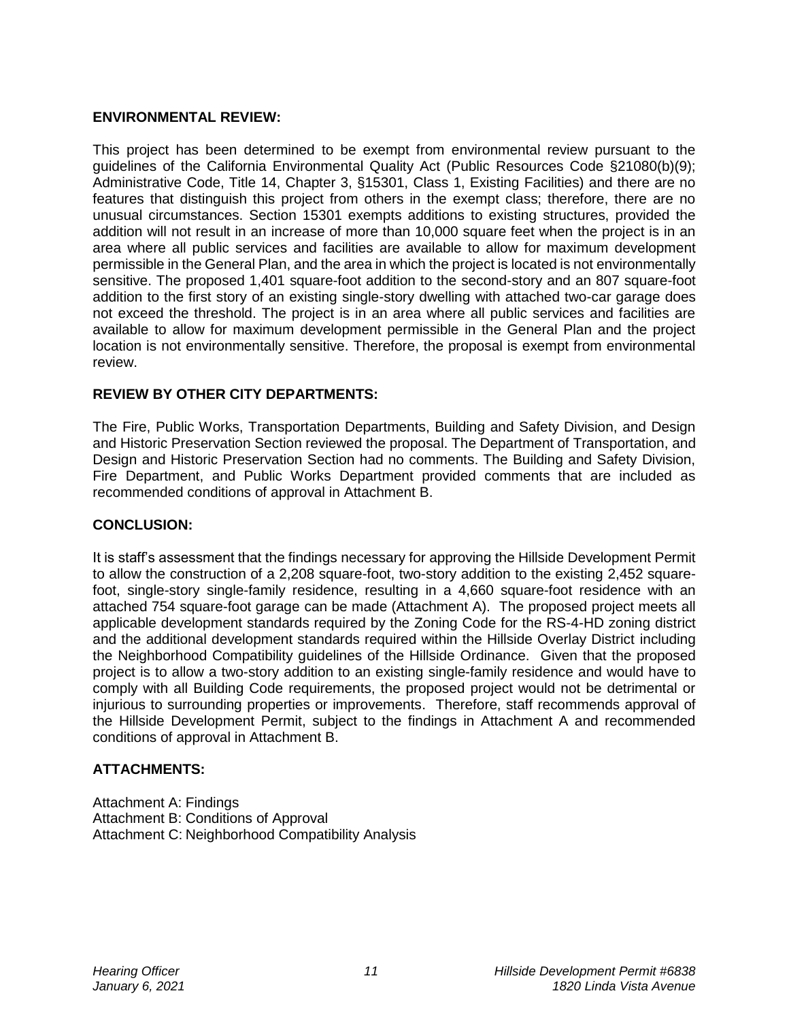### **ENVIRONMENTAL REVIEW:**

This project has been determined to be exempt from environmental review pursuant to the guidelines of the California Environmental Quality Act (Public Resources Code §21080(b)(9); Administrative Code, Title 14, Chapter 3, §15301, Class 1, Existing Facilities) and there are no features that distinguish this project from others in the exempt class; therefore, there are no unusual circumstances. Section 15301 exempts additions to existing structures, provided the addition will not result in an increase of more than 10,000 square feet when the project is in an area where all public services and facilities are available to allow for maximum development permissible in the General Plan, and the area in which the project is located is not environmentally sensitive. The proposed 1,401 square-foot addition to the second-story and an 807 square-foot addition to the first story of an existing single-story dwelling with attached two-car garage does not exceed the threshold. The project is in an area where all public services and facilities are available to allow for maximum development permissible in the General Plan and the project location is not environmentally sensitive. Therefore, the proposal is exempt from environmental review.

## **REVIEW BY OTHER CITY DEPARTMENTS:**

The Fire, Public Works, Transportation Departments, Building and Safety Division, and Design and Historic Preservation Section reviewed the proposal. The Department of Transportation, and Design and Historic Preservation Section had no comments. The Building and Safety Division, Fire Department, and Public Works Department provided comments that are included as recommended conditions of approval in Attachment B.

#### **CONCLUSION:**

It is staff's assessment that the findings necessary for approving the Hillside Development Permit to allow the construction of a 2,208 square-foot, two-story addition to the existing 2,452 squarefoot, single-story single-family residence, resulting in a 4,660 square-foot residence with an attached 754 square-foot garage can be made (Attachment A). The proposed project meets all applicable development standards required by the Zoning Code for the RS-4-HD zoning district and the additional development standards required within the Hillside Overlay District including the Neighborhood Compatibility guidelines of the Hillside Ordinance. Given that the proposed project is to allow a two-story addition to an existing single-family residence and would have to comply with all Building Code requirements, the proposed project would not be detrimental or injurious to surrounding properties or improvements. Therefore, staff recommends approval of the Hillside Development Permit, subject to the findings in Attachment A and recommended conditions of approval in Attachment B.

# **ATTACHMENTS:**

Attachment A: Findings Attachment B: Conditions of Approval Attachment C: Neighborhood Compatibility Analysis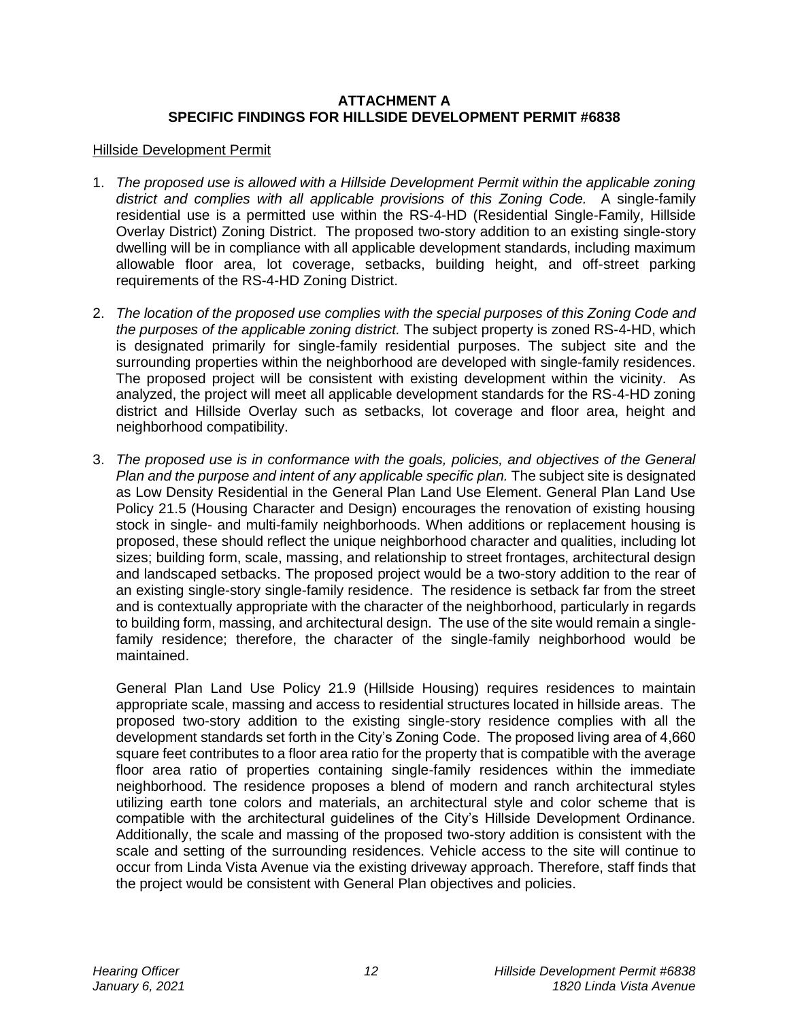#### **ATTACHMENT A SPECIFIC FINDINGS FOR HILLSIDE DEVELOPMENT PERMIT #6838**

#### Hillside Development Permit

- 1. *The proposed use is allowed with a Hillside Development Permit within the applicable zoning district and complies with all applicable provisions of this Zoning Code.* A single-family residential use is a permitted use within the RS-4-HD (Residential Single-Family, Hillside Overlay District) Zoning District. The proposed two-story addition to an existing single-story dwelling will be in compliance with all applicable development standards, including maximum allowable floor area, lot coverage, setbacks, building height, and off-street parking requirements of the RS-4-HD Zoning District.
- 2. *The location of the proposed use complies with the special purposes of this Zoning Code and the purposes of the applicable zoning district.* The subject property is zoned RS-4-HD, which is designated primarily for single-family residential purposes. The subject site and the surrounding properties within the neighborhood are developed with single-family residences. The proposed project will be consistent with existing development within the vicinity. As analyzed, the project will meet all applicable development standards for the RS-4-HD zoning district and Hillside Overlay such as setbacks, lot coverage and floor area, height and neighborhood compatibility.
- 3. *The proposed use is in conformance with the goals, policies, and objectives of the General Plan and the purpose and intent of any applicable specific plan.* The subject site is designated as Low Density Residential in the General Plan Land Use Element. General Plan Land Use Policy 21.5 (Housing Character and Design) encourages the renovation of existing housing stock in single- and multi-family neighborhoods. When additions or replacement housing is proposed, these should reflect the unique neighborhood character and qualities, including lot sizes; building form, scale, massing, and relationship to street frontages, architectural design and landscaped setbacks. The proposed project would be a two-story addition to the rear of an existing single-story single-family residence. The residence is setback far from the street and is contextually appropriate with the character of the neighborhood, particularly in regards to building form, massing, and architectural design. The use of the site would remain a singlefamily residence; therefore, the character of the single-family neighborhood would be maintained.

General Plan Land Use Policy 21.9 (Hillside Housing) requires residences to maintain appropriate scale, massing and access to residential structures located in hillside areas. The proposed two-story addition to the existing single-story residence complies with all the development standards set forth in the City's Zoning Code. The proposed living area of 4,660 square feet contributes to a floor area ratio for the property that is compatible with the average floor area ratio of properties containing single-family residences within the immediate neighborhood. The residence proposes a blend of modern and ranch architectural styles utilizing earth tone colors and materials, an architectural style and color scheme that is compatible with the architectural guidelines of the City's Hillside Development Ordinance. Additionally, the scale and massing of the proposed two-story addition is consistent with the scale and setting of the surrounding residences. Vehicle access to the site will continue to occur from Linda Vista Avenue via the existing driveway approach. Therefore, staff finds that the project would be consistent with General Plan objectives and policies.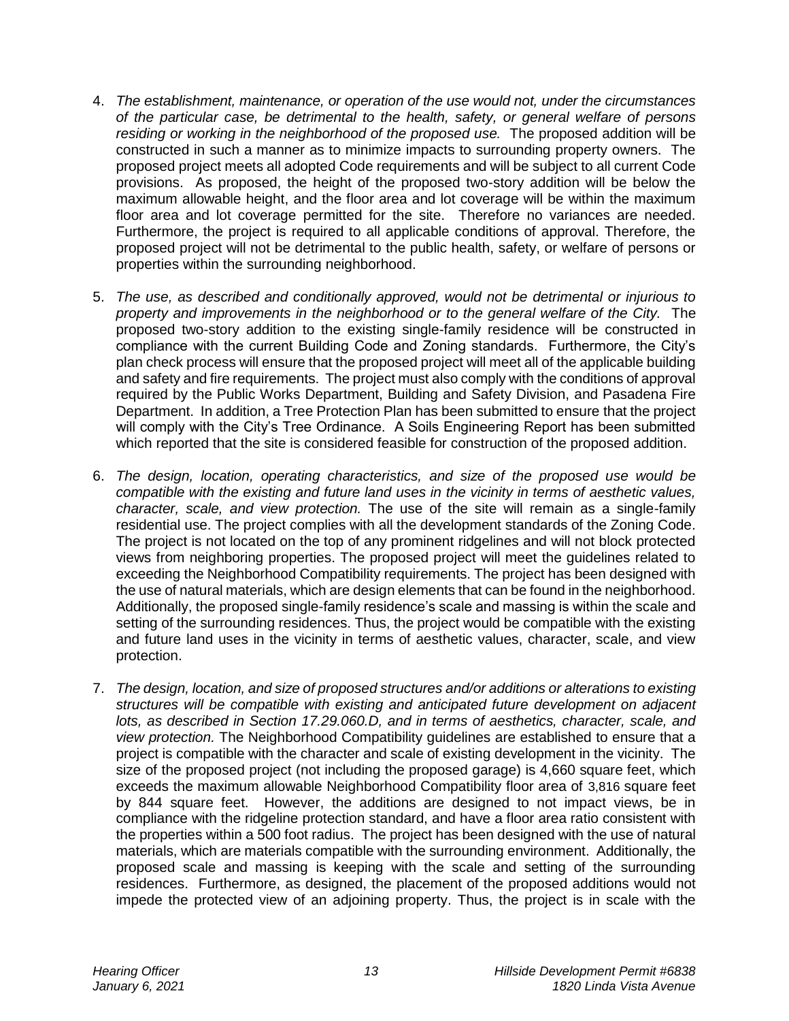- 4. *The establishment, maintenance, or operation of the use would not, under the circumstances of the particular case, be detrimental to the health, safety, or general welfare of persons residing or working in the neighborhood of the proposed use.* The proposed addition will be constructed in such a manner as to minimize impacts to surrounding property owners. The proposed project meets all adopted Code requirements and will be subject to all current Code provisions. As proposed, the height of the proposed two-story addition will be below the maximum allowable height, and the floor area and lot coverage will be within the maximum floor area and lot coverage permitted for the site. Therefore no variances are needed. Furthermore, the project is required to all applicable conditions of approval. Therefore, the proposed project will not be detrimental to the public health, safety, or welfare of persons or properties within the surrounding neighborhood.
- 5. *The use, as described and conditionally approved, would not be detrimental or injurious to property and improvements in the neighborhood or to the general welfare of the City.* The proposed two-story addition to the existing single-family residence will be constructed in compliance with the current Building Code and Zoning standards. Furthermore, the City's plan check process will ensure that the proposed project will meet all of the applicable building and safety and fire requirements. The project must also comply with the conditions of approval required by the Public Works Department, Building and Safety Division, and Pasadena Fire Department. In addition, a Tree Protection Plan has been submitted to ensure that the project will comply with the City's Tree Ordinance. A Soils Engineering Report has been submitted which reported that the site is considered feasible for construction of the proposed addition.
- 6. *The design, location, operating characteristics, and size of the proposed use would be compatible with the existing and future land uses in the vicinity in terms of aesthetic values, character, scale, and view protection.* The use of the site will remain as a single-family residential use. The project complies with all the development standards of the Zoning Code. The project is not located on the top of any prominent ridgelines and will not block protected views from neighboring properties. The proposed project will meet the guidelines related to exceeding the Neighborhood Compatibility requirements. The project has been designed with the use of natural materials, which are design elements that can be found in the neighborhood. Additionally, the proposed single-family residence's scale and massing is within the scale and setting of the surrounding residences. Thus, the project would be compatible with the existing and future land uses in the vicinity in terms of aesthetic values, character, scale, and view protection.
- 7. *The design, location, and size of proposed [structures](http://ww2.cityofpasadena.net/zoning/P-8.html#STRUCTURE) and/or additions or [alterations](http://ww2.cityofpasadena.net/zoning/P-8.html#ALTERATION) to existing [structures](http://ww2.cityofpasadena.net/zoning/P-8.html#STRUCTURE) will be compatible with existing and anticipated future [development](http://ww2.cityofpasadena.net/zoning/P-8.html#DEVELOPMENT) on adjacent [lots,](http://ww2.cityofpasadena.net/zoning/P-8.html#LOT) as described in Section 17.29.060.D, and in terms of aesthetics, character, scale, and view protection.* The Neighborhood Compatibility guidelines are established to ensure that a project is compatible with the character and scale of existing development in the vicinity. The size of the proposed project (not including the proposed garage) is 4,660 square feet, which exceeds the maximum allowable Neighborhood Compatibility floor area of 3,816 square feet by 844 square feet. However, the additions are designed to not impact views, be in compliance with the ridgeline protection standard, and have a floor area ratio consistent with the properties within a 500 foot radius. The project has been designed with the use of natural materials, which are materials compatible with the surrounding environment. Additionally, the proposed scale and massing is keeping with the scale and setting of the surrounding residences. Furthermore, as designed, the placement of the proposed additions would not impede the protected view of an adjoining property. Thus, the project is in scale with the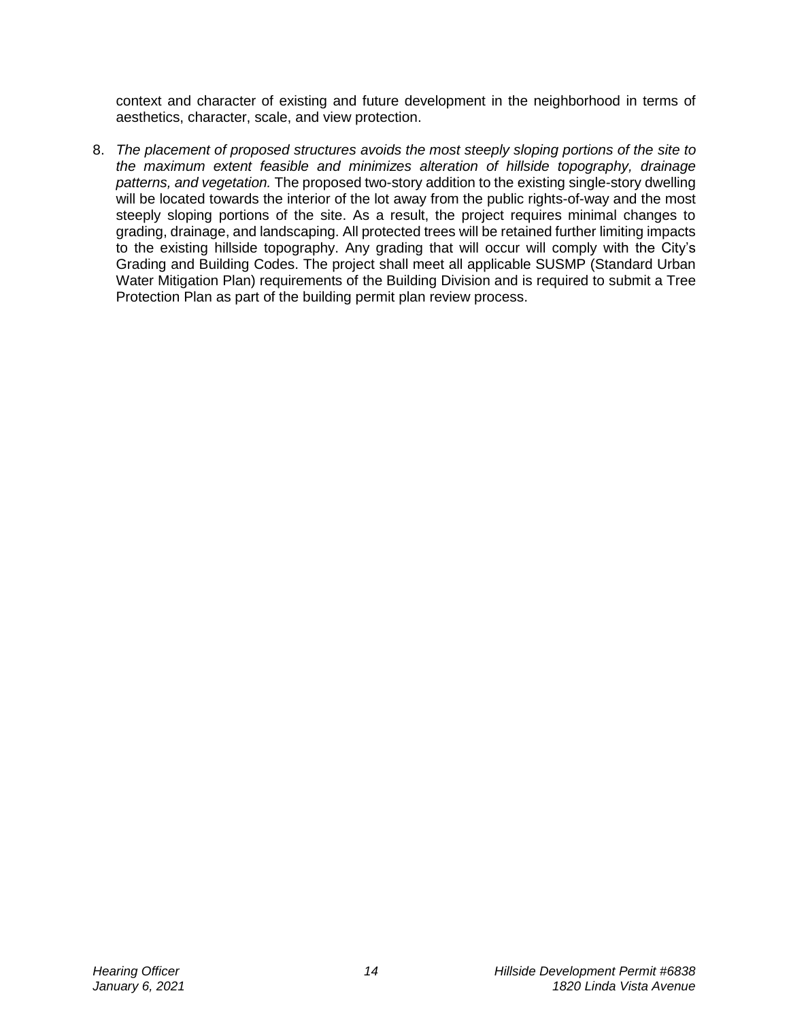context and character of existing and future development in the neighborhood in terms of aesthetics, character, scale, and view protection.

8. *The placement of proposed [structures](http://ww2.cityofpasadena.net/zoning/P-8.html#STRUCTURE) avoids the most steeply sloping portions of the [site](http://ww2.cityofpasadena.net/zoning/P-8.html#SITE) to the maximum extent [feasible](http://ww2.cityofpasadena.net/zoning/P-8.html#FEASIBLE) and minimizes [alteration](http://ww2.cityofpasadena.net/zoning/P-8.html#ALTERATION) of hillside topography, drainage patterns, and vegetation.* The proposed two-story addition to the existing single-story dwelling will be located towards the interior of the lot away from the public rights-of-way and the most steeply sloping portions of the site. As a result, the project requires minimal changes to grading, drainage, and landscaping. All protected trees will be retained further limiting impacts to the existing hillside topography. Any grading that will occur will comply with the City's Grading and Building Codes. The project shall meet all applicable SUSMP (Standard Urban Water Mitigation Plan) requirements of the Building Division and is required to submit a Tree Protection Plan as part of the building permit plan review process.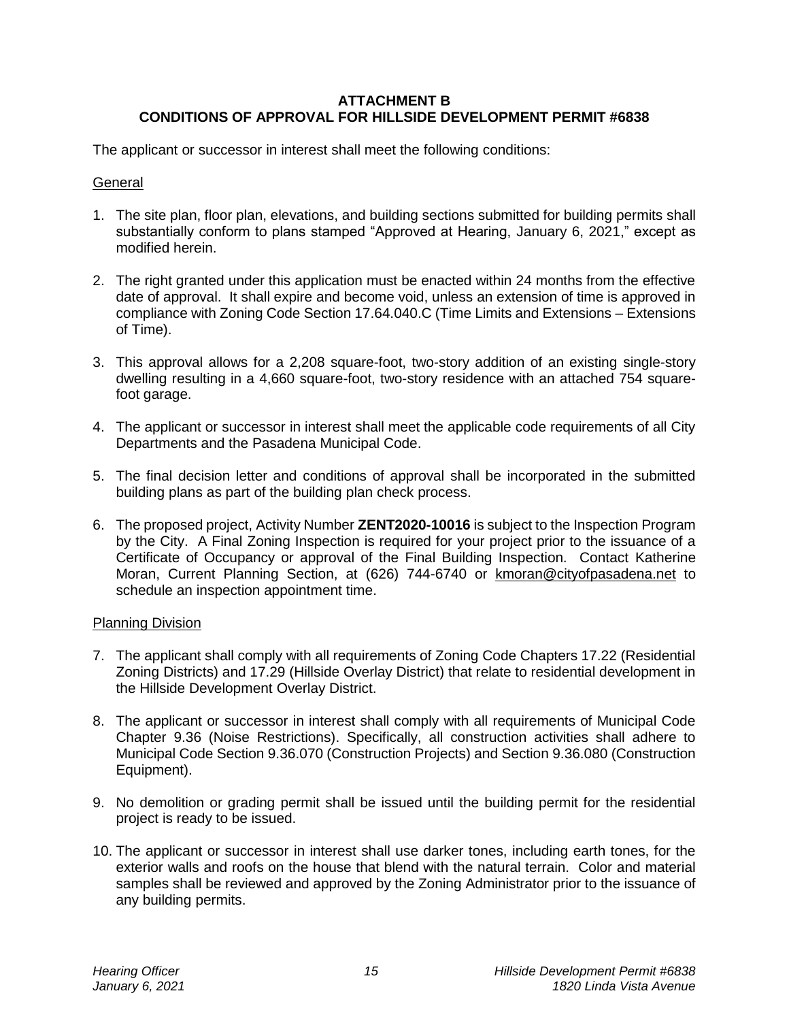### **ATTACHMENT B CONDITIONS OF APPROVAL FOR HILLSIDE DEVELOPMENT PERMIT #6838**

The applicant or successor in interest shall meet the following conditions:

#### **General**

- 1. The site plan, floor plan, elevations, and building sections submitted for building permits shall substantially conform to plans stamped "Approved at Hearing, January 6, 2021," except as modified herein.
- 2. The right granted under this application must be enacted within 24 months from the effective date of approval. It shall expire and become void, unless an extension of time is approved in compliance with Zoning Code Section 17.64.040.C (Time Limits and Extensions – Extensions of Time).
- 3. This approval allows for a 2,208 square-foot, two-story addition of an existing single-story dwelling resulting in a 4,660 square-foot, two-story residence with an attached 754 squarefoot garage.
- 4. The applicant or successor in interest shall meet the applicable code requirements of all City Departments and the Pasadena Municipal Code.
- 5. The final decision letter and conditions of approval shall be incorporated in the submitted building plans as part of the building plan check process.
- 6. The proposed project, Activity Number **ZENT2020-10016** is subject to the Inspection Program by the City. A Final Zoning Inspection is required for your project prior to the issuance of a Certificate of Occupancy or approval of the Final Building Inspection. Contact Katherine Moran, Current Planning Section, at (626) 744-6740 or [kmoran@cityofpasadena.net](mailto:kmoran@cityofpasadena.net) to schedule an inspection appointment time.

#### Planning Division

- 7. The applicant shall comply with all requirements of Zoning Code Chapters 17.22 (Residential Zoning Districts) and 17.29 (Hillside Overlay District) that relate to residential development in the Hillside Development Overlay District.
- 8. The applicant or successor in interest shall comply with all requirements of Municipal Code Chapter 9.36 (Noise Restrictions). Specifically, all construction activities shall adhere to Municipal Code Section 9.36.070 (Construction Projects) and Section 9.36.080 (Construction Equipment).
- 9. No demolition or grading permit shall be issued until the building permit for the residential project is ready to be issued.
- 10. The applicant or successor in interest shall use darker tones, including earth tones, for the exterior walls and roofs on the house that blend with the natural terrain. Color and material samples shall be reviewed and approved by the Zoning Administrator prior to the issuance of any building permits.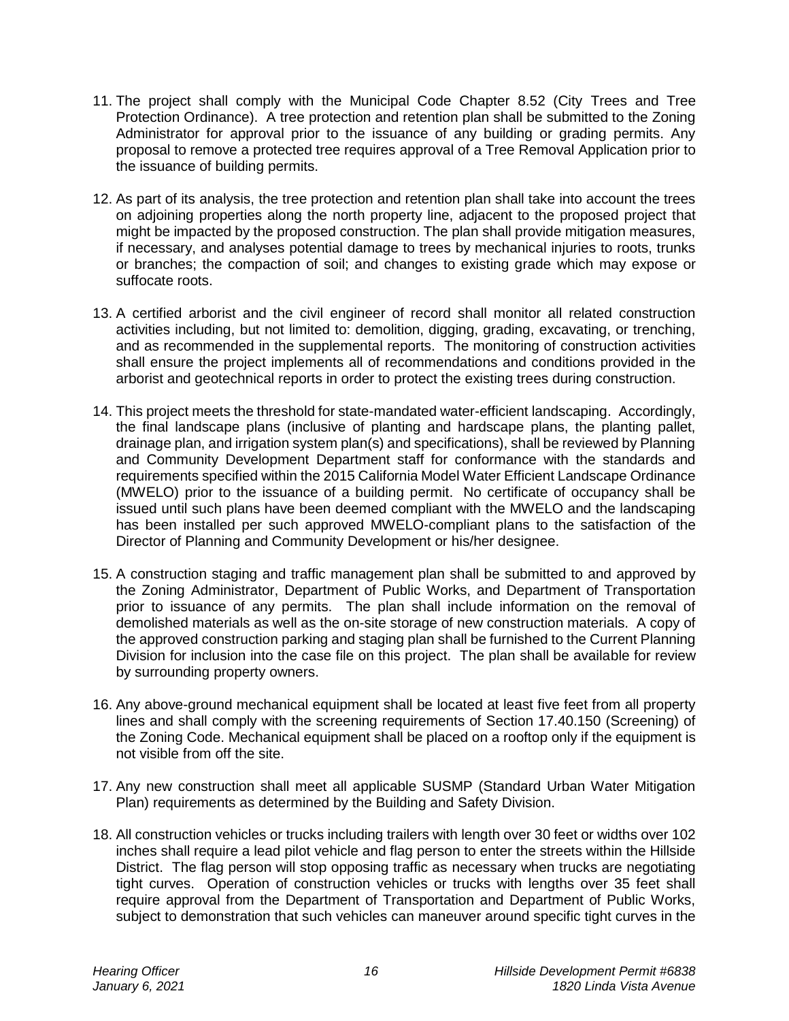- 11. The project shall comply with the Municipal Code Chapter 8.52 (City Trees and Tree Protection Ordinance). A tree protection and retention plan shall be submitted to the Zoning Administrator for approval prior to the issuance of any building or grading permits. Any proposal to remove a protected tree requires approval of a Tree Removal Application prior to the issuance of building permits.
- 12. As part of its analysis, the tree protection and retention plan shall take into account the trees on adjoining properties along the north property line, adjacent to the proposed project that might be impacted by the proposed construction. The plan shall provide mitigation measures, if necessary, and analyses potential damage to trees by mechanical injuries to roots, trunks or branches; the compaction of soil; and changes to existing grade which may expose or suffocate roots.
- 13. A certified arborist and the civil engineer of record shall monitor all related construction activities including, but not limited to: demolition, digging, grading, excavating, or trenching, and as recommended in the supplemental reports. The monitoring of construction activities shall ensure the project implements all of recommendations and conditions provided in the arborist and geotechnical reports in order to protect the existing trees during construction.
- 14. This project meets the threshold for state-mandated water-efficient landscaping. Accordingly, the final landscape plans (inclusive of planting and hardscape plans, the planting pallet, drainage plan, and irrigation system plan(s) and specifications), shall be reviewed by Planning and Community Development Department staff for conformance with the standards and requirements specified within the 2015 California Model Water Efficient Landscape Ordinance (MWELO) prior to the issuance of a building permit. No certificate of occupancy shall be issued until such plans have been deemed compliant with the MWELO and the landscaping has been installed per such approved MWELO-compliant plans to the satisfaction of the Director of Planning and Community Development or his/her designee.
- 15. A construction staging and traffic management plan shall be submitted to and approved by the Zoning Administrator, Department of Public Works, and Department of Transportation prior to issuance of any permits. The plan shall include information on the removal of demolished materials as well as the on-site storage of new construction materials. A copy of the approved construction parking and staging plan shall be furnished to the Current Planning Division for inclusion into the case file on this project. The plan shall be available for review by surrounding property owners.
- 16. Any above-ground mechanical equipment shall be located at least five feet from all property lines and shall comply with the screening requirements of Section 17.40.150 (Screening) of the Zoning Code. Mechanical equipment shall be placed on a rooftop only if the equipment is not visible from off the site.
- 17. Any new construction shall meet all applicable SUSMP (Standard Urban Water Mitigation Plan) requirements as determined by the Building and Safety Division.
- 18. All construction vehicles or trucks including trailers with length over 30 feet or widths over 102 inches shall require a lead pilot vehicle and flag person to enter the streets within the Hillside District. The flag person will stop opposing traffic as necessary when trucks are negotiating tight curves. Operation of construction vehicles or trucks with lengths over 35 feet shall require approval from the Department of Transportation and Department of Public Works, subject to demonstration that such vehicles can maneuver around specific tight curves in the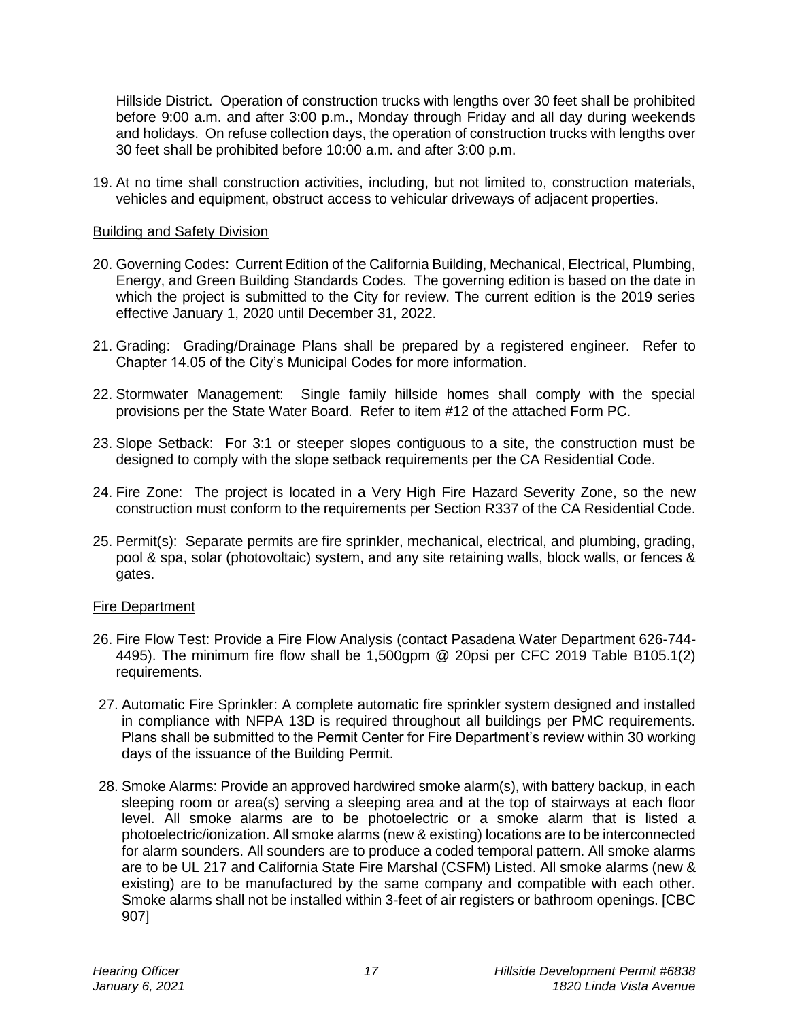Hillside District. Operation of construction trucks with lengths over 30 feet shall be prohibited before 9:00 a.m. and after 3:00 p.m., Monday through Friday and all day during weekends and holidays. On refuse collection days, the operation of construction trucks with lengths over 30 feet shall be prohibited before 10:00 a.m. and after 3:00 p.m.

19. At no time shall construction activities, including, but not limited to, construction materials, vehicles and equipment, obstruct access to vehicular driveways of adjacent properties.

#### Building and Safety Division

- 20. Governing Codes: Current Edition of the California Building, Mechanical, Electrical, Plumbing, Energy, and Green Building Standards Codes. The governing edition is based on the date in which the project is submitted to the City for review. The current edition is the 2019 series effective January 1, 2020 until December 31, 2022.
- 21. Grading: Grading/Drainage Plans shall be prepared by a registered engineer. Refer to Chapter 14.05 of the City's Municipal Codes for more information.
- 22. Stormwater Management: Single family hillside homes shall comply with the special provisions per the State Water Board. Refer to item #12 of the attached Form PC.
- 23. Slope Setback: For 3:1 or steeper slopes contiguous to a site, the construction must be designed to comply with the slope setback requirements per the CA Residential Code.
- 24. Fire Zone: The project is located in a Very High Fire Hazard Severity Zone, so the new construction must conform to the requirements per Section R337 of the CA Residential Code.
- 25. Permit(s): Separate permits are fire sprinkler, mechanical, electrical, and plumbing, grading, pool & spa, solar (photovoltaic) system, and any site retaining walls, block walls, or fences & gates.

#### Fire Department

- 26. Fire Flow Test: Provide a Fire Flow Analysis (contact Pasadena Water Department 626-744- 4495). The minimum fire flow shall be 1,500gpm @ 20psi per CFC 2019 Table B105.1(2) requirements.
- 27. Automatic Fire Sprinkler: A complete automatic fire sprinkler system designed and installed in compliance with NFPA 13D is required throughout all buildings per PMC requirements. Plans shall be submitted to the Permit Center for Fire Department's review within 30 working days of the issuance of the Building Permit.
- 28. Smoke Alarms: Provide an approved hardwired smoke alarm(s), with battery backup, in each sleeping room or area(s) serving a sleeping area and at the top of stairways at each floor level. All smoke alarms are to be photoelectric or a smoke alarm that is listed a photoelectric/ionization. All smoke alarms (new & existing) locations are to be interconnected for alarm sounders. All sounders are to produce a coded temporal pattern. All smoke alarms are to be UL 217 and California State Fire Marshal (CSFM) Listed. All smoke alarms (new & existing) are to be manufactured by the same company and compatible with each other. Smoke alarms shall not be installed within 3-feet of air registers or bathroom openings. [CBC 907]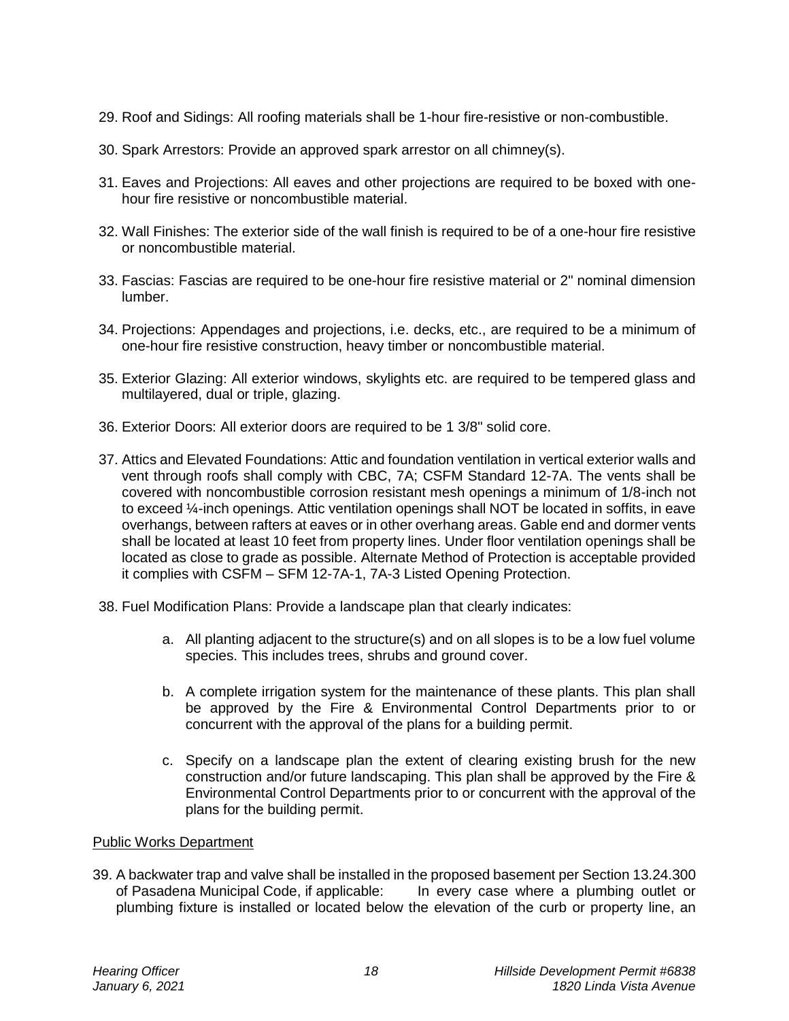- 29. Roof and Sidings: All roofing materials shall be 1-hour fire-resistive or non-combustible.
- 30. Spark Arrestors: Provide an approved spark arrestor on all chimney(s).
- 31. Eaves and Projections: All eaves and other projections are required to be boxed with onehour fire resistive or noncombustible material.
- 32. Wall Finishes: The exterior side of the wall finish is required to be of a one-hour fire resistive or noncombustible material.
- 33. Fascias: Fascias are required to be one-hour fire resistive material or 2" nominal dimension lumber.
- 34. Projections: Appendages and projections, i.e. decks, etc., are required to be a minimum of one-hour fire resistive construction, heavy timber or noncombustible material.
- 35. Exterior Glazing: All exterior windows, skylights etc. are required to be tempered glass and multilayered, dual or triple, glazing.
- 36. Exterior Doors: All exterior doors are required to be 1 3/8" solid core.
- 37. Attics and Elevated Foundations: Attic and foundation ventilation in vertical exterior walls and vent through roofs shall comply with CBC, 7A; CSFM Standard 12-7A. The vents shall be covered with noncombustible corrosion resistant mesh openings a minimum of 1/8-inch not to exceed ¼-inch openings. Attic ventilation openings shall NOT be located in soffits, in eave overhangs, between rafters at eaves or in other overhang areas. Gable end and dormer vents shall be located at least 10 feet from property lines. Under floor ventilation openings shall be located as close to grade as possible. Alternate Method of Protection is acceptable provided it complies with CSFM – SFM 12-7A-1, 7A-3 Listed Opening Protection.
- 38. Fuel Modification Plans: Provide a landscape plan that clearly indicates:
	- a. All planting adjacent to the structure(s) and on all slopes is to be a low fuel volume species. This includes trees, shrubs and ground cover.
	- b. A complete irrigation system for the maintenance of these plants. This plan shall be approved by the Fire & Environmental Control Departments prior to or concurrent with the approval of the plans for a building permit.
	- c. Specify on a landscape plan the extent of clearing existing brush for the new construction and/or future landscaping. This plan shall be approved by the Fire & Environmental Control Departments prior to or concurrent with the approval of the plans for the building permit.

#### Public Works Department

39. A backwater trap and valve shall be installed in the proposed basement per Section 13.24.300 of Pasadena Municipal Code, if applicable: In every case where a plumbing outlet or plumbing fixture is installed or located below the elevation of the curb or property line, an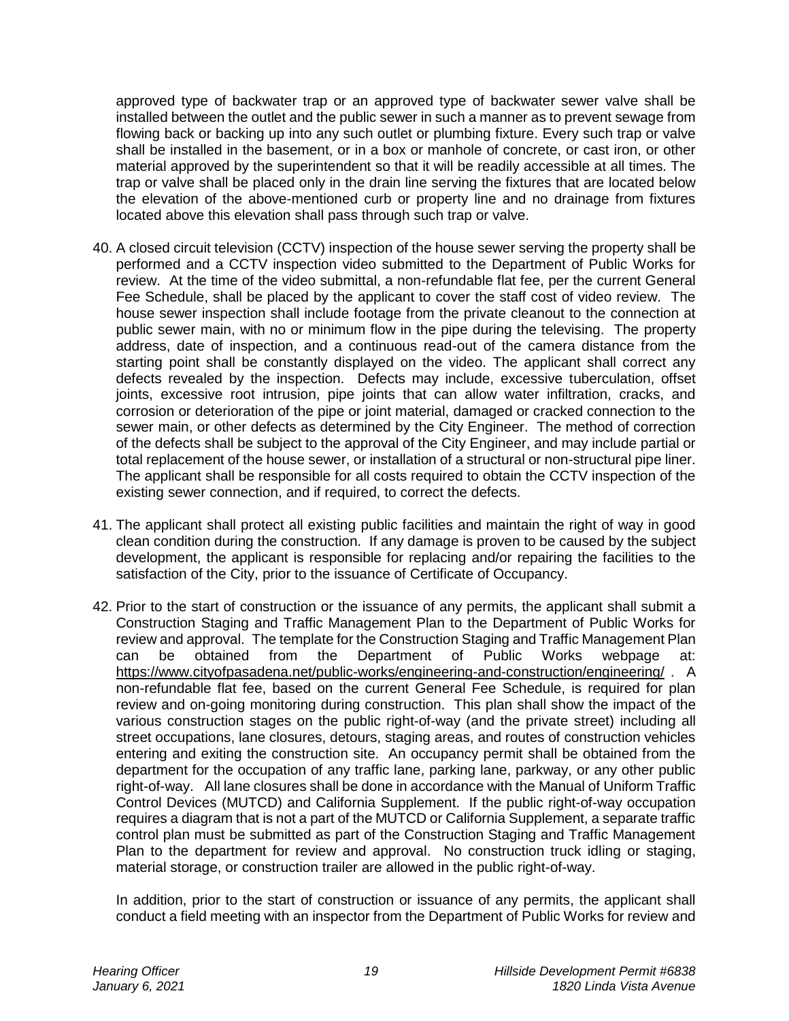approved type of backwater trap or an approved type of backwater sewer valve shall be installed between the outlet and the public sewer in such a manner as to prevent sewage from flowing back or backing up into any such outlet or plumbing fixture. Every such trap or valve shall be installed in the basement, or in a box or manhole of concrete, or cast iron, or other material approved by the superintendent so that it will be readily accessible at all times. The trap or valve shall be placed only in the drain line serving the fixtures that are located below the elevation of the above-mentioned curb or property line and no drainage from fixtures located above this elevation shall pass through such trap or valve.

- 40. A closed circuit television (CCTV) inspection of the house sewer serving the property shall be performed and a CCTV inspection video submitted to the Department of Public Works for review. At the time of the video submittal, a non-refundable flat fee, per the current General Fee Schedule, shall be placed by the applicant to cover the staff cost of video review. The house sewer inspection shall include footage from the private cleanout to the connection at public sewer main, with no or minimum flow in the pipe during the televising. The property address, date of inspection, and a continuous read-out of the camera distance from the starting point shall be constantly displayed on the video. The applicant shall correct any defects revealed by the inspection. Defects may include, excessive tuberculation, offset joints, excessive root intrusion, pipe joints that can allow water infiltration, cracks, and corrosion or deterioration of the pipe or joint material, damaged or cracked connection to the sewer main, or other defects as determined by the City Engineer. The method of correction of the defects shall be subject to the approval of the City Engineer, and may include partial or total replacement of the house sewer, or installation of a structural or non-structural pipe liner. The applicant shall be responsible for all costs required to obtain the CCTV inspection of the existing sewer connection, and if required, to correct the defects.
- 41. The applicant shall protect all existing public facilities and maintain the right of way in good clean condition during the construction. If any damage is proven to be caused by the subject development, the applicant is responsible for replacing and/or repairing the facilities to the satisfaction of the City, prior to the issuance of Certificate of Occupancy.
- 42. Prior to the start of construction or the issuance of any permits, the applicant shall submit a Construction Staging and Traffic Management Plan to the Department of Public Works for review and approval. The template for the Construction Staging and Traffic Management Plan can be obtained from the Department of Public Works webpage at: <https://www.cityofpasadena.net/public-works/engineering-and-construction/engineering/> . A non-refundable flat fee, based on the current General Fee Schedule, is required for plan review and on-going monitoring during construction. This plan shall show the impact of the various construction stages on the public right-of-way (and the private street) including all street occupations, lane closures, detours, staging areas, and routes of construction vehicles entering and exiting the construction site. An occupancy permit shall be obtained from the department for the occupation of any traffic lane, parking lane, parkway, or any other public right-of-way. All lane closures shall be done in accordance with the Manual of Uniform Traffic Control Devices (MUTCD) and California Supplement. If the public right-of-way occupation requires a diagram that is not a part of the MUTCD or California Supplement, a separate traffic control plan must be submitted as part of the Construction Staging and Traffic Management Plan to the department for review and approval. No construction truck idling or staging, material storage, or construction trailer are allowed in the public right-of-way.

In addition, prior to the start of construction or issuance of any permits, the applicant shall conduct a field meeting with an inspector from the Department of Public Works for review and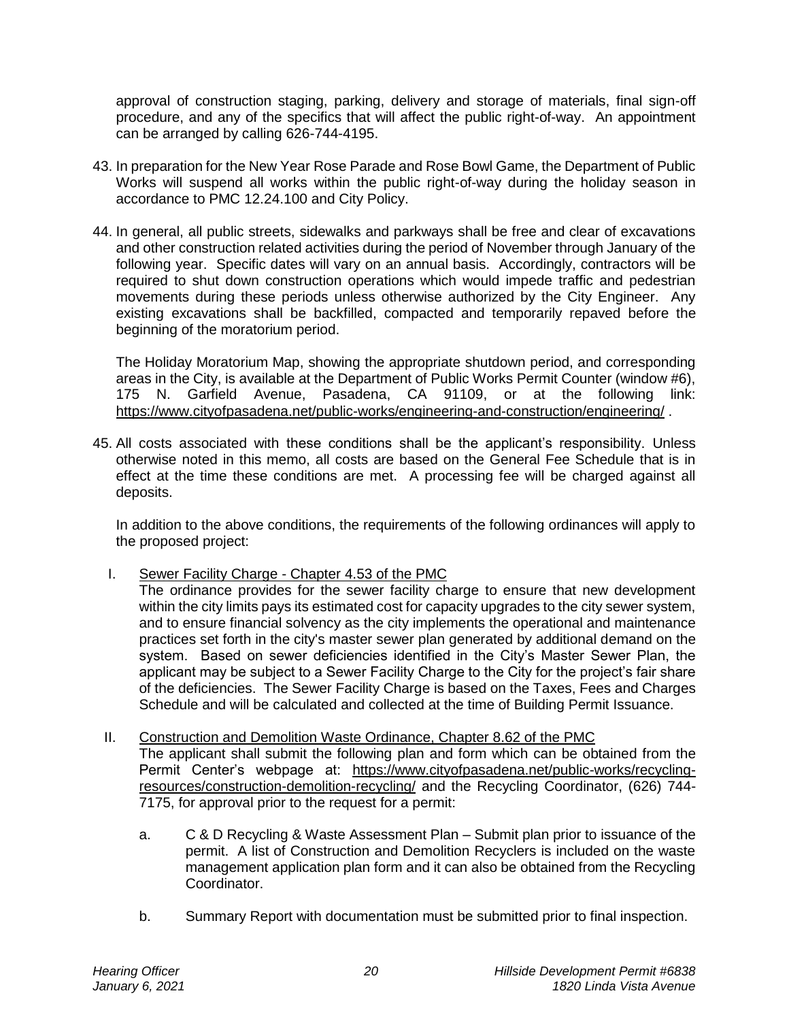approval of construction staging, parking, delivery and storage of materials, final sign-off procedure, and any of the specifics that will affect the public right-of-way. An appointment can be arranged by calling 626-744-4195.

- 43. In preparation for the New Year Rose Parade and Rose Bowl Game, the Department of Public Works will suspend all works within the public right-of-way during the holiday season in accordance to PMC 12.24.100 and City Policy.
- 44. In general, all public streets, sidewalks and parkways shall be free and clear of excavations and other construction related activities during the period of November through January of the following year. Specific dates will vary on an annual basis. Accordingly, contractors will be required to shut down construction operations which would impede traffic and pedestrian movements during these periods unless otherwise authorized by the City Engineer. Any existing excavations shall be backfilled, compacted and temporarily repaved before the beginning of the moratorium period.

The Holiday Moratorium Map, showing the appropriate shutdown period, and corresponding areas in the City, is available at the Department of Public Works Permit Counter (window #6), 175 N. Garfield Avenue, Pasadena, CA 91109, or at the following link: <https://www.cityofpasadena.net/public-works/engineering-and-construction/engineering/> .

45. All costs associated with these conditions shall be the applicant's responsibility. Unless otherwise noted in this memo, all costs are based on the General Fee Schedule that is in effect at the time these conditions are met. A processing fee will be charged against all deposits.

In addition to the above conditions, the requirements of the following ordinances will apply to the proposed project:

I. Sewer Facility Charge - Chapter 4.53 of the PMC

The ordinance provides for the sewer facility charge to ensure that new development within the city limits pays its estimated cost for capacity upgrades to the city sewer system, and to ensure financial solvency as the city implements the operational and maintenance practices set forth in the city's master sewer plan generated by additional demand on the system. Based on sewer deficiencies identified in the City's Master Sewer Plan, the applicant may be subject to a Sewer Facility Charge to the City for the project's fair share of the deficiencies. The Sewer Facility Charge is based on the Taxes, Fees and Charges Schedule and will be calculated and collected at the time of Building Permit Issuance.

II. Construction and Demolition Waste Ordinance, Chapter 8.62 of the PMC

The applicant shall submit the following plan and form which can be obtained from the Permit Center's webpage at: [https://www.cityofpasadena.net/public-works/recycling](https://www.cityofpasadena.net/public-works/recycling-resources/construction-demolition-recycling/)[resources/construction-demolition-recycling/](https://www.cityofpasadena.net/public-works/recycling-resources/construction-demolition-recycling/) and the Recycling Coordinator, (626) 744- 7175, for approval prior to the request for a permit:

- a. C & D Recycling & Waste Assessment Plan Submit plan prior to issuance of the permit. A list of Construction and Demolition Recyclers is included on the waste management application plan form and it can also be obtained from the Recycling Coordinator.
- b. Summary Report with documentation must be submitted prior to final inspection.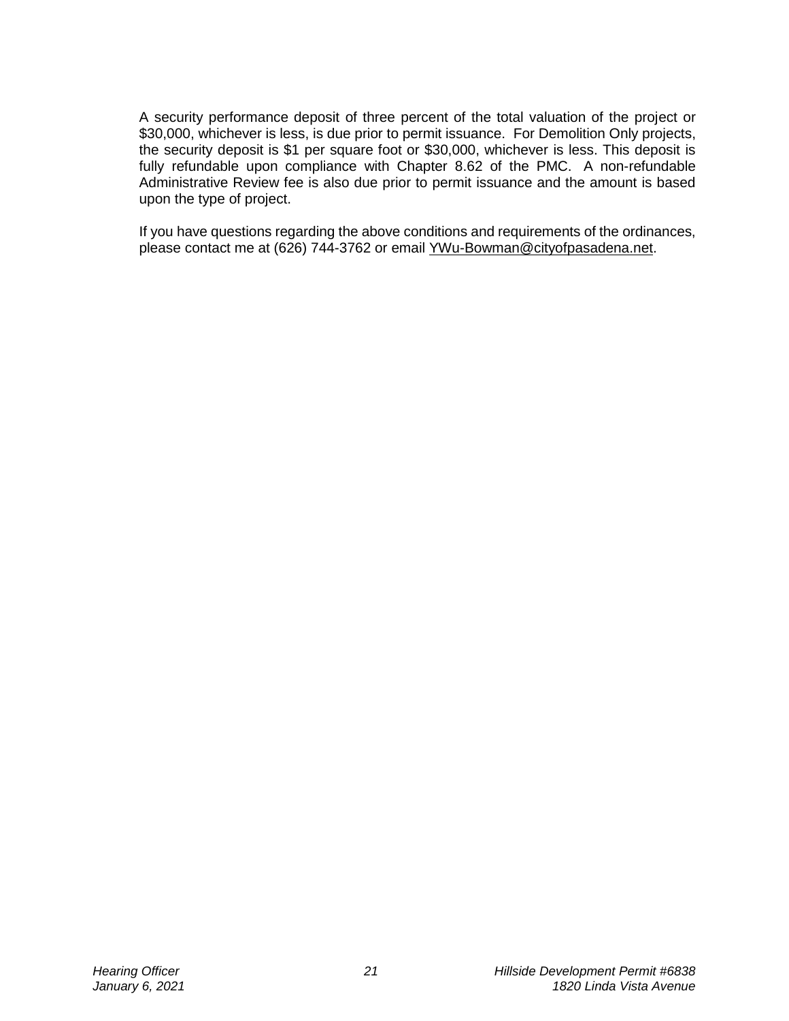A security performance deposit of three percent of the total valuation of the project or \$30,000, whichever is less, is due prior to permit issuance. For Demolition Only projects, the security deposit is \$1 per square foot or \$30,000, whichever is less. This deposit is fully refundable upon compliance with Chapter 8.62 of the PMC. A non-refundable Administrative Review fee is also due prior to permit issuance and the amount is based upon the type of project.

If you have questions regarding the above conditions and requirements of the ordinances, please contact me at (626) 744-3762 or email [YWu-Bowman@cityofpasadena.net.](mailto:YWu-Bowman@cityofpasadena.net)